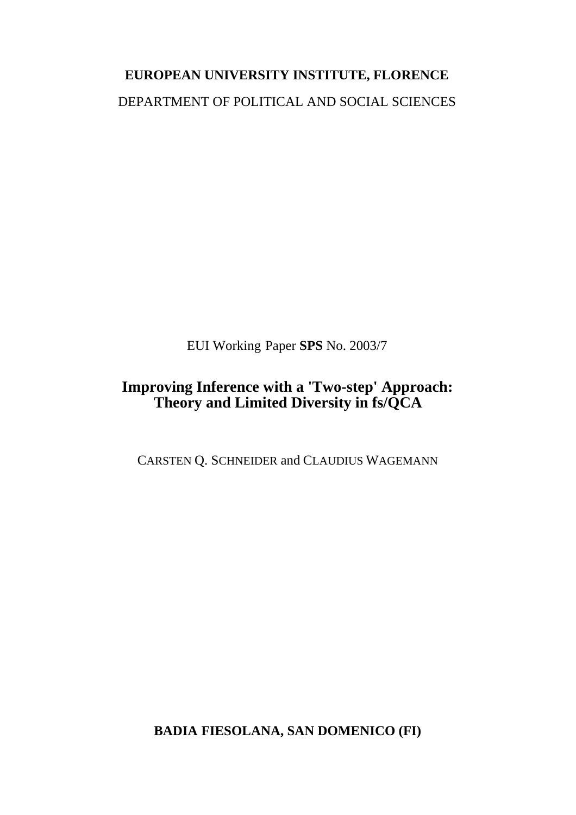# **EUROPEAN UNIVERSITY INSTITUTE, FLORENCE** DEPARTMENT OF POLITICAL AND SOCIAL SCIENCES

EUI Working Paper **SPS** No. 2003/7

## **Improving Inference with a 'Two-step' Approach: Theory and Limited Diversity in fs/QCA**

CARSTEN Q. SCHNEIDER and CLAUDIUS WAGEMANN

**BADIA FIESOLANA, SAN DOMENICO (FI)**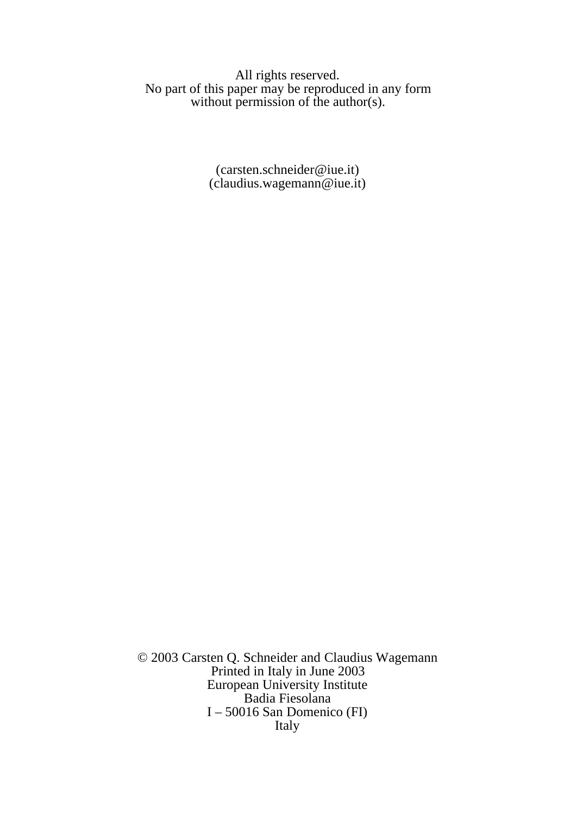All rights reserved. No part of this paper may be reproduced in any form without permission of the author(s).

> (carsten.schneider@iue.it) (claudius.wagemann@iue.it)

© 2003 Carsten Q. Schneider and Claudius Wagemann Printed in Italy in June 2003 European University Institute Badia Fiesolana I – 50016 San Domenico (FI) Italy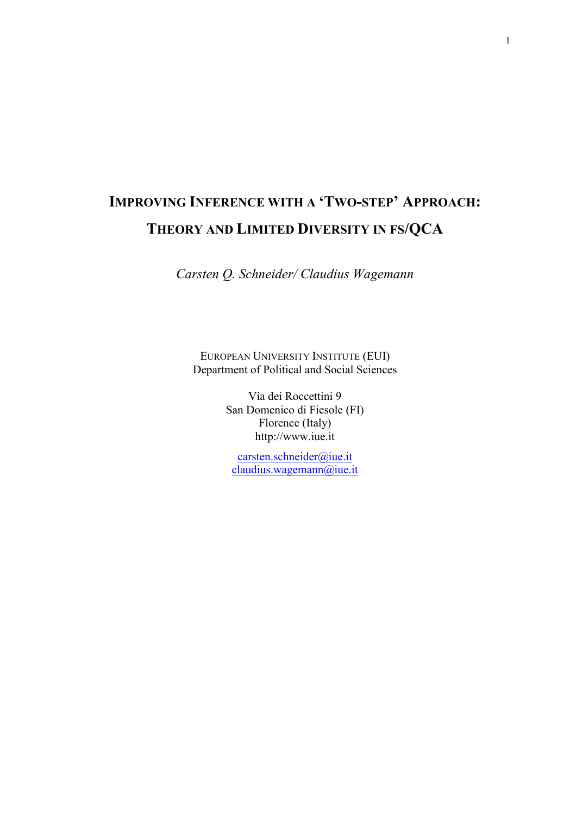## **IMPROVING INFERENCE WITH A 'TWO-STEP' APPROACH: THEORY AND LIMITED DIVERSITY IN FS/QCA**

*Carsten Q. Schneider/ Claudius Wagemann*

EUROPEAN UNIVERSITY INSTITUTE (EUI) Department of Political and Social Sciences

> Via dei Roccettini 9 San Domenico di Fiesole (FI) Florence (Italy) http://www.iue.it

carsten.schneider@iue.it claudius.wagemann@iue.it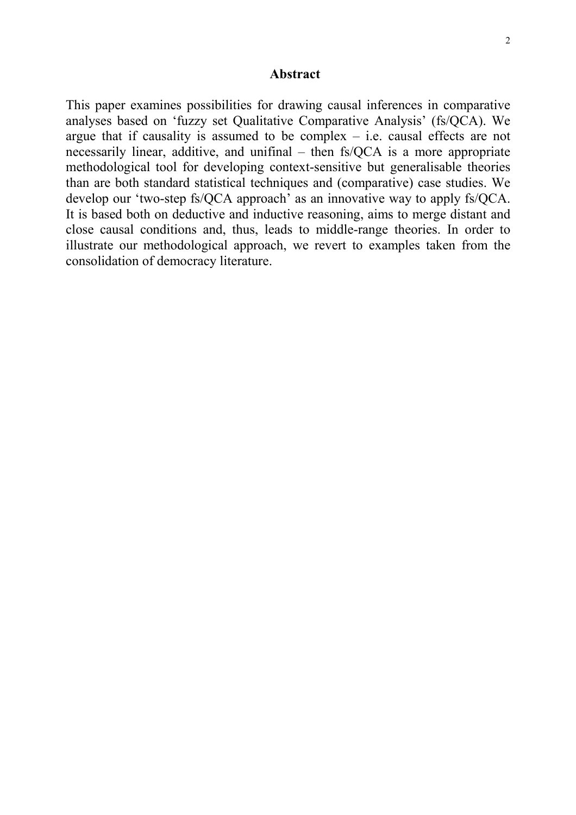#### **Abstract**

This paper examines possibilities for drawing causal inferences in comparative analyses based on 'fuzzy set Qualitative Comparative Analysis' (fs/QCA). We argue that if causality is assumed to be complex  $-$  i.e. causal effects are not necessarily linear, additive, and unifinal – then fs/QCA is a more appropriate methodological tool for developing context-sensitive but generalisable theories than are both standard statistical techniques and (comparative) case studies. We develop our 'two-step fs/QCA approach' as an innovative way to apply fs/QCA. It is based both on deductive and inductive reasoning, aims to merge distant and close causal conditions and, thus, leads to middle-range theories. In order to illustrate our methodological approach, we revert to examples taken from the consolidation of democracy literature.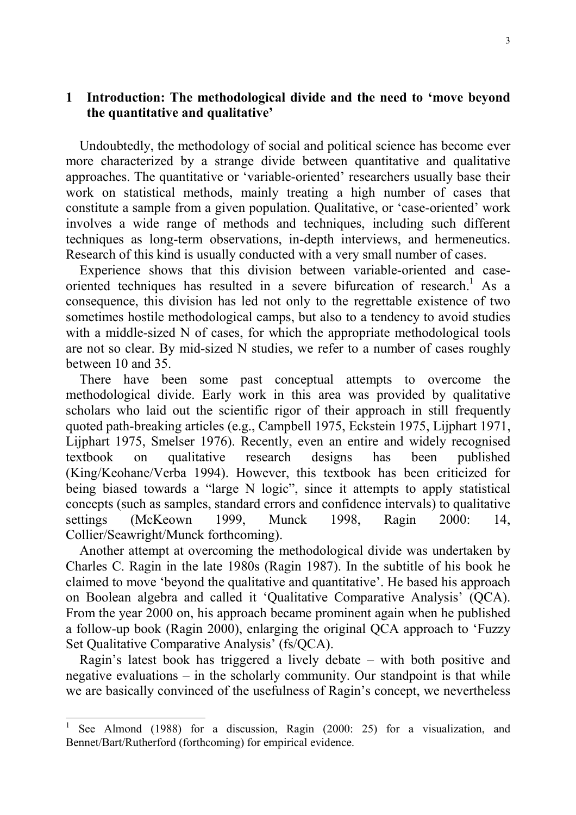## **1 Introduction: The methodological divide and the need to 'move beyond the quantitative and qualitative'**

Undoubtedly, the methodology of social and political science has become ever more characterized by a strange divide between quantitative and qualitative approaches. The quantitative or 'variable-oriented' researchers usually base their work on statistical methods, mainly treating a high number of cases that constitute a sample from a given population. Qualitative, or 'case-oriented' work involves a wide range of methods and techniques, including such different techniques as long-term observations, in-depth interviews, and hermeneutics. Research of this kind is usually conducted with a very small number of cases.

Experience shows that this division between variable-oriented and caseoriented techniques has resulted in a severe bifurcation of research.<sup>1</sup> As a consequence, this division has led not only to the regrettable existence of two sometimes hostile methodological camps, but also to a tendency to avoid studies with a middle-sized N of cases, for which the appropriate methodological tools are not so clear. By mid-sized N studies, we refer to a number of cases roughly between 10 and 35.

There have been some past conceptual attempts to overcome the methodological divide. Early work in this area was provided by qualitative scholars who laid out the scientific rigor of their approach in still frequently quoted path-breaking articles (e.g., Campbell 1975, Eckstein 1975, Lijphart 1971, Lijphart 1975, Smelser 1976). Recently, even an entire and widely recognised textbook on qualitative research designs has been published (King/Keohane/Verba 1994). However, this textbook has been criticized for being biased towards a "large N logic", since it attempts to apply statistical concepts (such as samples, standard errors and confidence intervals) to qualitative settings (McKeown 1999, Munck 1998, Ragin 2000: 14, Collier/Seawright/Munck forthcoming).

Another attempt at overcoming the methodological divide was undertaken by Charles C. Ragin in the late 1980s (Ragin 1987). In the subtitle of his book he claimed to move 'beyond the qualitative and quantitative'. He based his approach on Boolean algebra and called it 'Qualitative Comparative Analysis' (QCA). From the year 2000 on, his approach became prominent again when he published a follow-up book (Ragin 2000), enlarging the original QCA approach to 'Fuzzy Set Qualitative Comparative Analysis' (fs/QCA).

Ragin's latest book has triggered a lively debate – with both positive and negative evaluations – in the scholarly community. Our standpoint is that while we are basically convinced of the usefulness of Ragin's concept, we nevertheless

<sup>1</sup> See Almond (1988) for a discussion, Ragin (2000: 25) for a visualization, and Bennet/Bart/Rutherford (forthcoming) for empirical evidence.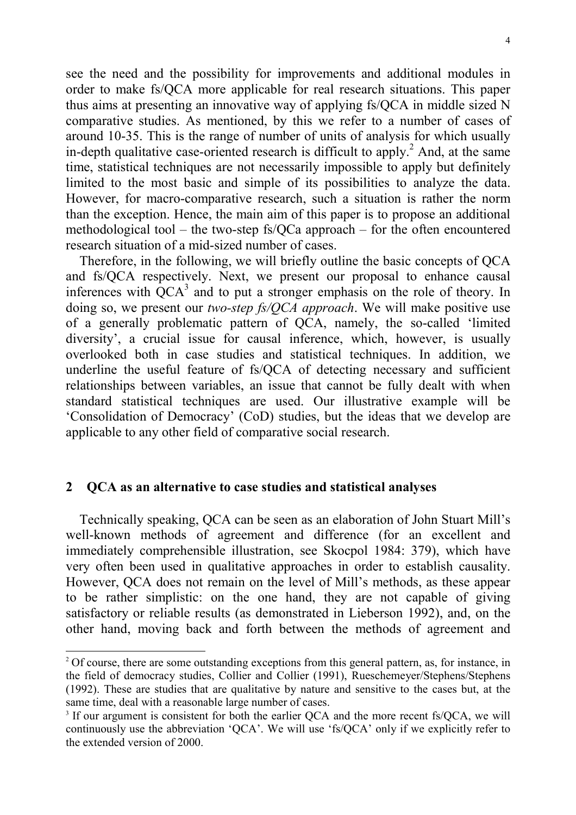see the need and the possibility for improvements and additional modules in order to make fs/QCA more applicable for real research situations. This paper thus aims at presenting an innovative way of applying fs/QCA in middle sized N comparative studies. As mentioned, by this we refer to a number of cases of around 10-35. This is the range of number of units of analysis for which usually in-depth qualitative case-oriented research is difficult to apply.<sup>2</sup> And, at the same time, statistical techniques are not necessarily impossible to apply but definitely limited to the most basic and simple of its possibilities to analyze the data. However, for macro-comparative research, such a situation is rather the norm than the exception. Hence, the main aim of this paper is to propose an additional methodological tool – the two-step fs/QCa approach – for the often encountered research situation of a mid-sized number of cases.

Therefore, in the following, we will briefly outline the basic concepts of QCA and fs/QCA respectively. Next, we present our proposal to enhance causal inferences with  $\overline{QCA}^3$  and to put a stronger emphasis on the role of theory. In doing so, we present our *two-step fs/QCA approach*. We will make positive use of a generally problematic pattern of QCA, namely, the so-called 'limited diversity', a crucial issue for causal inference, which, however, is usually overlooked both in case studies and statistical techniques. In addition, we underline the useful feature of fs/QCA of detecting necessary and sufficient relationships between variables, an issue that cannot be fully dealt with when standard statistical techniques are used. Our illustrative example will be 'Consolidation of Democracy' (CoD) studies, but the ideas that we develop are applicable to any other field of comparative social research.

### **2 QCA as an alternative to case studies and statistical analyses**

l

Technically speaking, QCA can be seen as an elaboration of John Stuart Mill's well-known methods of agreement and difference (for an excellent and immediately comprehensible illustration, see Skocpol 1984: 379), which have very often been used in qualitative approaches in order to establish causality. However, QCA does not remain on the level of Mill's methods, as these appear to be rather simplistic: on the one hand, they are not capable of giving satisfactory or reliable results (as demonstrated in Lieberson 1992), and, on the other hand, moving back and forth between the methods of agreement and

<sup>&</sup>lt;sup>2</sup> Of course, there are some outstanding exceptions from this general pattern, as, for instance, in the field of democracy studies, Collier and Collier (1991), Rueschemeyer/Stephens/Stephens (1992). These are studies that are qualitative by nature and sensitive to the cases but, at the same time, deal with a reasonable large number of cases.

<sup>&</sup>lt;sup>3</sup> If our argument is consistent for both the earlier QCA and the more recent fs/QCA, we will continuously use the abbreviation 'QCA'. We will use 'fs/QCA' only if we explicitly refer to the extended version of 2000.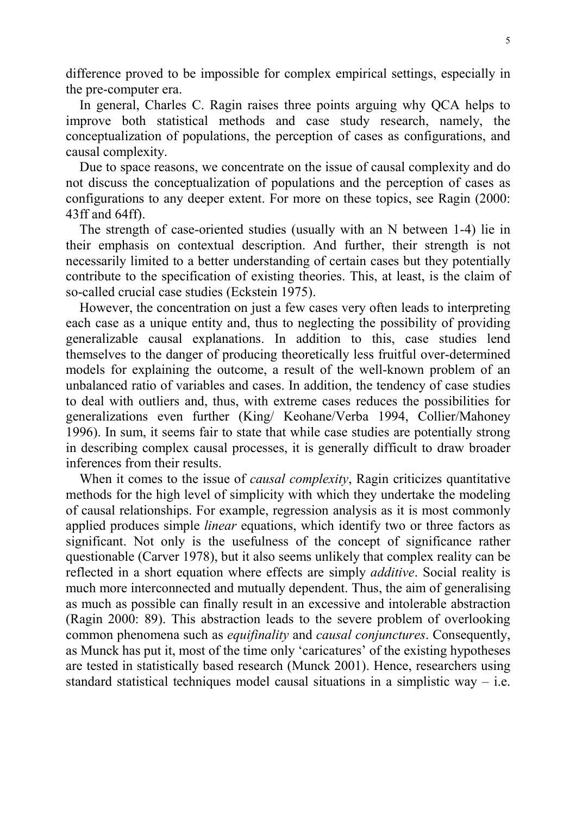difference proved to be impossible for complex empirical settings, especially in the pre-computer era.

In general, Charles C. Ragin raises three points arguing why QCA helps to improve both statistical methods and case study research, namely, the conceptualization of populations, the perception of cases as configurations, and causal complexity.

Due to space reasons, we concentrate on the issue of causal complexity and do not discuss the conceptualization of populations and the perception of cases as configurations to any deeper extent. For more on these topics, see Ragin (2000: 43ff and 64ff).

The strength of case-oriented studies (usually with an N between 1-4) lie in their emphasis on contextual description. And further, their strength is not necessarily limited to a better understanding of certain cases but they potentially contribute to the specification of existing theories. This, at least, is the claim of so-called crucial case studies (Eckstein 1975).

However, the concentration on just a few cases very often leads to interpreting each case as a unique entity and, thus to neglecting the possibility of providing generalizable causal explanations. In addition to this, case studies lend themselves to the danger of producing theoretically less fruitful over-determined models for explaining the outcome, a result of the well-known problem of an unbalanced ratio of variables and cases. In addition, the tendency of case studies to deal with outliers and, thus, with extreme cases reduces the possibilities for generalizations even further (King/ Keohane/Verba 1994, Collier/Mahoney 1996). In sum, it seems fair to state that while case studies are potentially strong in describing complex causal processes, it is generally difficult to draw broader inferences from their results.

When it comes to the issue of *causal complexity*, Ragin criticizes quantitative methods for the high level of simplicity with which they undertake the modeling of causal relationships. For example, regression analysis as it is most commonly applied produces simple *linear* equations, which identify two or three factors as significant. Not only is the usefulness of the concept of significance rather questionable (Carver 1978), but it also seems unlikely that complex reality can be reflected in a short equation where effects are simply *additive*. Social reality is much more interconnected and mutually dependent. Thus, the aim of generalising as much as possible can finally result in an excessive and intolerable abstraction (Ragin 2000: 89). This abstraction leads to the severe problem of overlooking common phenomena such as *equifinality* and *causal conjunctures*. Consequently, as Munck has put it, most of the time only 'caricatures' of the existing hypotheses are tested in statistically based research (Munck 2001). Hence, researchers using standard statistical techniques model causal situations in a simplistic way  $-$  i.e.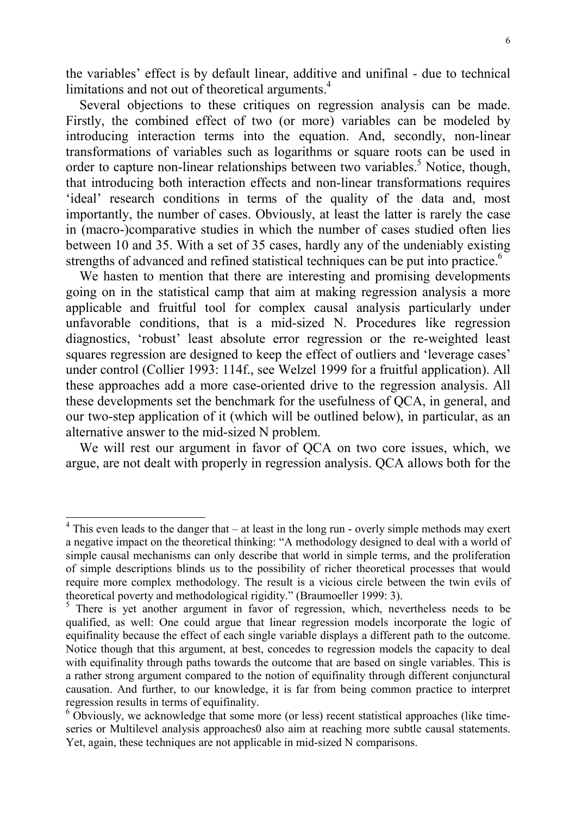the variables' effect is by default linear, additive and unifinal - due to technical limitations and not out of theoretical arguments.<sup>4</sup>

Several objections to these critiques on regression analysis can be made. Firstly, the combined effect of two (or more) variables can be modeled by introducing interaction terms into the equation. And, secondly, non-linear transformations of variables such as logarithms or square roots can be used in order to capture non-linear relationships between two variables.<sup>5</sup> Notice, though, that introducing both interaction effects and non-linear transformations requires 'ideal' research conditions in terms of the quality of the data and, most importantly, the number of cases. Obviously, at least the latter is rarely the case in (macro-)comparative studies in which the number of cases studied often lies between 10 and 35. With a set of 35 cases, hardly any of the undeniably existing strengths of advanced and refined statistical techniques can be put into practice.<sup>6</sup>

We hasten to mention that there are interesting and promising developments going on in the statistical camp that aim at making regression analysis a more applicable and fruitful tool for complex causal analysis particularly under unfavorable conditions, that is a mid-sized N. Procedures like regression diagnostics, 'robust' least absolute error regression or the re-weighted least squares regression are designed to keep the effect of outliers and 'leverage cases' under control (Collier 1993: 114f., see Welzel 1999 for a fruitful application). All these approaches add a more case-oriented drive to the regression analysis. All these developments set the benchmark for the usefulness of QCA, in general, and our two-step application of it (which will be outlined below), in particular, as an alternative answer to the mid-sized N problem.

We will rest our argument in favor of QCA on two core issues, which, we argue, are not dealt with properly in regression analysis. QCA allows both for the

 $4$  This even leads to the danger that – at least in the long run - overly simple methods may exert a negative impact on the theoretical thinking: "A methodology designed to deal with a world of simple causal mechanisms can only describe that world in simple terms, and the proliferation of simple descriptions blinds us to the possibility of richer theoretical processes that would require more complex methodology. The result is a vicious circle between the twin evils of theoretical poverty and methodological rigidity." (Braumoeller 1999: 3).

<sup>&</sup>lt;sup>5</sup> There is yet another argument in favor of regression, which, nevertheless needs to be qualified, as well: One could argue that linear regression models incorporate the logic of equifinality because the effect of each single variable displays a different path to the outcome. Notice though that this argument, at best, concedes to regression models the capacity to deal with equifinality through paths towards the outcome that are based on single variables. This is a rather strong argument compared to the notion of equifinality through different conjunctural causation. And further, to our knowledge, it is far from being common practice to interpret regression results in terms of equifinality.

<sup>&</sup>lt;sup>6</sup> Obviously, we acknowledge that some more (or less) recent statistical approaches (like timeseries or Multilevel analysis approaches0 also aim at reaching more subtle causal statements. Yet, again, these techniques are not applicable in mid-sized N comparisons.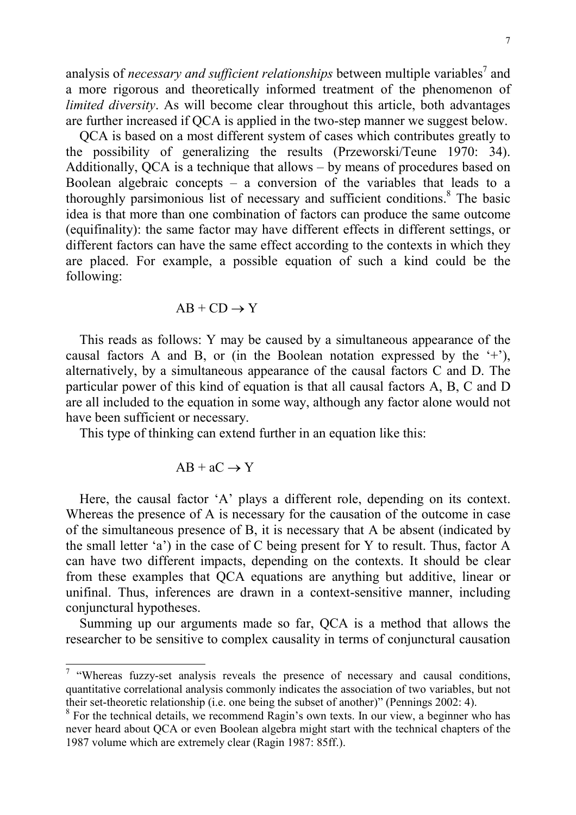analysis of *necessary and sufficient relationships* between multiple variables<sup>7</sup> and a more rigorous and theoretically informed treatment of the phenomenon of *limited diversity*. As will become clear throughout this article, both advantages are further increased if QCA is applied in the two-step manner we suggest below.

QCA is based on a most different system of cases which contributes greatly to the possibility of generalizing the results (Przeworski/Teune 1970: 34). Additionally, QCA is a technique that allows – by means of procedures based on Boolean algebraic concepts – a conversion of the variables that leads to a thoroughly parsimonious list of necessary and sufficient conditions.<sup>8</sup> The basic idea is that more than one combination of factors can produce the same outcome (equifinality): the same factor may have different effects in different settings, or different factors can have the same effect according to the contexts in which they are placed. For example, a possible equation of such a kind could be the following:

$$
AB + CD \rightarrow Y
$$

This reads as follows: Y may be caused by a simultaneous appearance of the causal factors A and B, or (in the Boolean notation expressed by the  $(+)$ ), alternatively, by a simultaneous appearance of the causal factors C and D. The particular power of this kind of equation is that all causal factors A, B, C and D are all included to the equation in some way, although any factor alone would not have been sufficient or necessary.

This type of thinking can extend further in an equation like this:

$$
AB + aC \rightarrow Y
$$

l

Here, the causal factor 'A' plays a different role, depending on its context. Whereas the presence of A is necessary for the causation of the outcome in case of the simultaneous presence of B, it is necessary that A be absent (indicated by the small letter 'a') in the case of C being present for Y to result. Thus, factor A can have two different impacts, depending on the contexts. It should be clear from these examples that QCA equations are anything but additive, linear or unifinal. Thus, inferences are drawn in a context-sensitive manner, including conjunctural hypotheses.

Summing up our arguments made so far, QCA is a method that allows the researcher to be sensitive to complex causality in terms of conjunctural causation

<sup>&</sup>lt;sup>7</sup> "Whereas fuzzy-set analysis reveals the presence of necessary and causal conditions, quantitative correlational analysis commonly indicates the association of two variables, but not their set-theoretic relationship (i.e. one being the subset of another)" (Pennings 2002: 4).

<sup>&</sup>lt;sup>8</sup> For the technical details, we recommend Ragin's own texts. In our view, a beginner who has never heard about QCA or even Boolean algebra might start with the technical chapters of the 1987 volume which are extremely clear (Ragin 1987: 85ff.).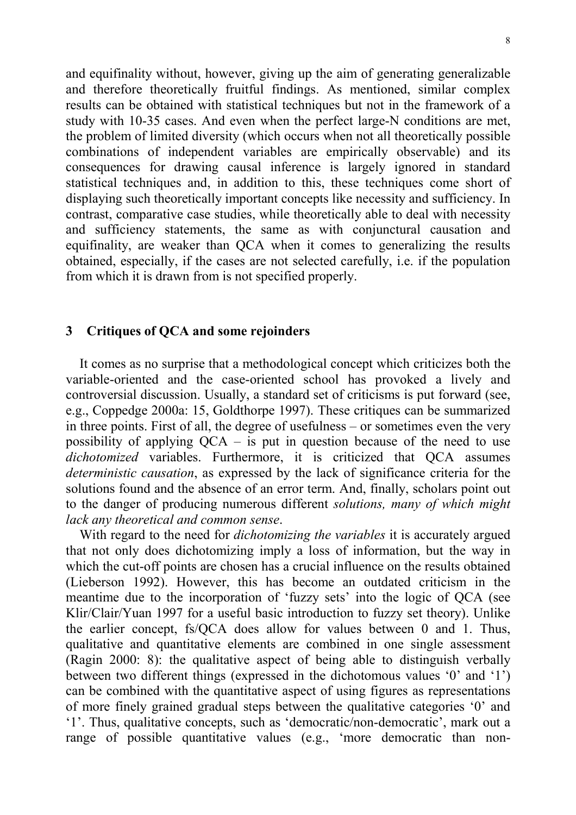and equifinality without, however, giving up the aim of generating generalizable and therefore theoretically fruitful findings. As mentioned, similar complex results can be obtained with statistical techniques but not in the framework of a study with 10-35 cases. And even when the perfect large-N conditions are met, the problem of limited diversity (which occurs when not all theoretically possible combinations of independent variables are empirically observable) and its consequences for drawing causal inference is largely ignored in standard statistical techniques and, in addition to this, these techniques come short of displaying such theoretically important concepts like necessity and sufficiency. In contrast, comparative case studies, while theoretically able to deal with necessity and sufficiency statements, the same as with conjunctural causation and equifinality, are weaker than QCA when it comes to generalizing the results obtained, especially, if the cases are not selected carefully, i.e. if the population from which it is drawn from is not specified properly.

#### **3 Critiques of QCA and some rejoinders**

It comes as no surprise that a methodological concept which criticizes both the variable-oriented and the case-oriented school has provoked a lively and controversial discussion. Usually, a standard set of criticisms is put forward (see, e.g., Coppedge 2000a: 15, Goldthorpe 1997). These critiques can be summarized in three points. First of all, the degree of usefulness – or sometimes even the very possibility of applying  $OCA -$  is put in question because of the need to use *dichotomized* variables. Furthermore, it is criticized that QCA assumes *deterministic causation*, as expressed by the lack of significance criteria for the solutions found and the absence of an error term. And, finally, scholars point out to the danger of producing numerous different *solutions, many of which might lack any theoretical and common sense*.

With regard to the need for *dichotomizing the variables* it is accurately argued that not only does dichotomizing imply a loss of information, but the way in which the cut-off points are chosen has a crucial influence on the results obtained (Lieberson 1992). However, this has become an outdated criticism in the meantime due to the incorporation of 'fuzzy sets' into the logic of QCA (see Klir/Clair/Yuan 1997 for a useful basic introduction to fuzzy set theory). Unlike the earlier concept, fs/QCA does allow for values between 0 and 1. Thus, qualitative and quantitative elements are combined in one single assessment (Ragin 2000: 8): the qualitative aspect of being able to distinguish verbally between two different things (expressed in the dichotomous values '0' and '1') can be combined with the quantitative aspect of using figures as representations of more finely grained gradual steps between the qualitative categories '0' and '1'. Thus, qualitative concepts, such as 'democratic/non-democratic', mark out a range of possible quantitative values (e.g., 'more democratic than non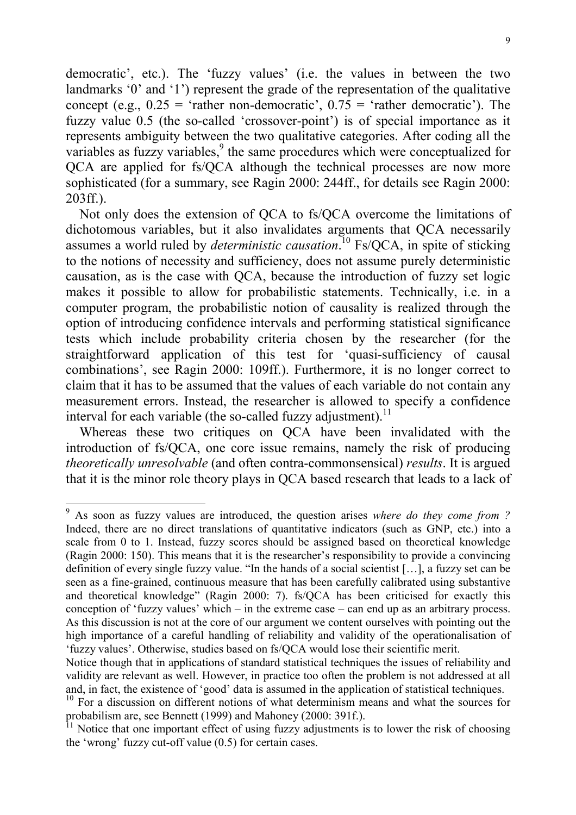democratic', etc.). The 'fuzzy values' (i.e. the values in between the two landmarks '0' and '1') represent the grade of the representation of the qualitative concept (e.g.,  $0.25 =$  'rather non-democratic',  $0.75 =$  'rather democratic'). The fuzzy value 0.5 (the so-called 'crossover-point') is of special importance as it represents ambiguity between the two qualitative categories. After coding all the variables as fuzzy variables,<sup>9</sup> the same procedures which were conceptualized for QCA are applied for fs/QCA although the technical processes are now more sophisticated (for a summary, see Ragin 2000: 244ff., for details see Ragin 2000: 203ff.).

Not only does the extension of QCA to fs/QCA overcome the limitations of dichotomous variables, but it also invalidates arguments that QCA necessarily assumes a world ruled by *deterministic causation*. 10 Fs/QCA, in spite of sticking to the notions of necessity and sufficiency, does not assume purely deterministic causation, as is the case with QCA, because the introduction of fuzzy set logic makes it possible to allow for probabilistic statements. Technically, i.e. in a computer program, the probabilistic notion of causality is realized through the option of introducing confidence intervals and performing statistical significance tests which include probability criteria chosen by the researcher (for the straightforward application of this test for 'quasi-sufficiency of causal combinations', see Ragin 2000: 109ff.). Furthermore, it is no longer correct to claim that it has to be assumed that the values of each variable do not contain any measurement errors. Instead, the researcher is allowed to specify a confidence interval for each variable (the so-called fuzzy adjustment).<sup>11</sup>

Whereas these two critiques on QCA have been invalidated with the introduction of fs/QCA, one core issue remains, namely the risk of producing *theoretically unresolvable* (and often contra-commonsensical) *results*. It is argued that it is the minor role theory plays in QCA based research that leads to a lack of

 9 As soon as fuzzy values are introduced, the question arises *where do they come from ?* Indeed, there are no direct translations of quantitative indicators (such as GNP, etc.) into a scale from 0 to 1. Instead, fuzzy scores should be assigned based on theoretical knowledge (Ragin 2000: 150). This means that it is the researcher's responsibility to provide a convincing definition of every single fuzzy value. "In the hands of a social scientist […], a fuzzy set can be seen as a fine-grained, continuous measure that has been carefully calibrated using substantive and theoretical knowledge" (Ragin 2000: 7). fs/QCA has been criticised for exactly this conception of 'fuzzy values' which – in the extreme case – can end up as an arbitrary process. As this discussion is not at the core of our argument we content ourselves with pointing out the high importance of a careful handling of reliability and validity of the operationalisation of 'fuzzy values'. Otherwise, studies based on fs/QCA would lose their scientific merit.

Notice though that in applications of standard statistical techniques the issues of reliability and validity are relevant as well. However, in practice too often the problem is not addressed at all and, in fact, the existence of 'good' data is assumed in the application of statistical techniques.

<sup>&</sup>lt;sup>10</sup> For a discussion on different notions of what determinism means and what the sources for probabilism are, see Bennett (1999) and Mahoney (2000: 391f.).

 $<sup>11</sup>$  Notice that one important effect of using fuzzy adjustments is to lower the risk of choosing</sup> the 'wrong' fuzzy cut-off value (0.5) for certain cases.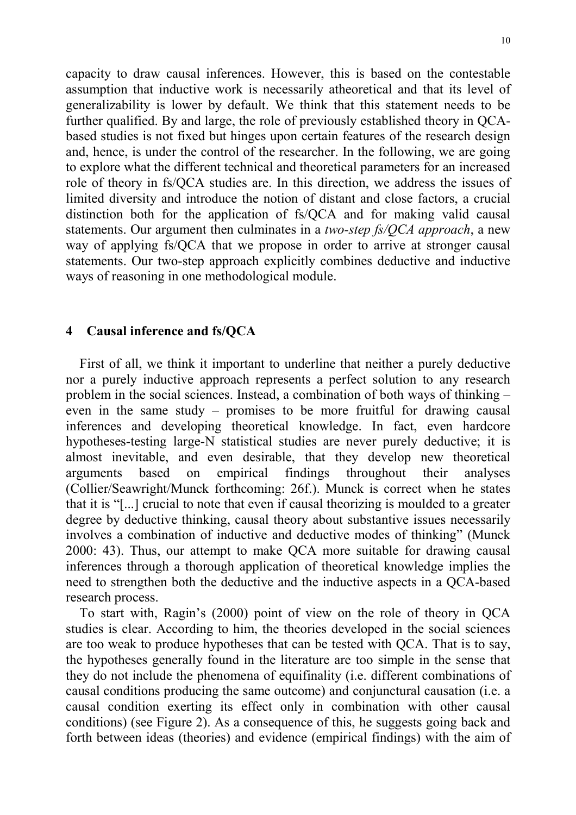capacity to draw causal inferences. However, this is based on the contestable assumption that inductive work is necessarily atheoretical and that its level of generalizability is lower by default. We think that this statement needs to be further qualified. By and large, the role of previously established theory in QCAbased studies is not fixed but hinges upon certain features of the research design and, hence, is under the control of the researcher. In the following, we are going to explore what the different technical and theoretical parameters for an increased role of theory in fs/QCA studies are. In this direction, we address the issues of limited diversity and introduce the notion of distant and close factors, a crucial distinction both for the application of fs/QCA and for making valid causal statements. Our argument then culminates in a *two-step fs/QCA approach*, a new way of applying fs/QCA that we propose in order to arrive at stronger causal statements. Our two-step approach explicitly combines deductive and inductive ways of reasoning in one methodological module.

## **4 Causal inference and fs/QCA**

First of all, we think it important to underline that neither a purely deductive nor a purely inductive approach represents a perfect solution to any research problem in the social sciences. Instead, a combination of both ways of thinking – even in the same study – promises to be more fruitful for drawing causal inferences and developing theoretical knowledge. In fact, even hardcore hypotheses-testing large-N statistical studies are never purely deductive; it is almost inevitable, and even desirable, that they develop new theoretical arguments based on empirical findings throughout their analyses (Collier/Seawright/Munck forthcoming: 26f.). Munck is correct when he states that it is "[...] crucial to note that even if causal theorizing is moulded to a greater degree by deductive thinking, causal theory about substantive issues necessarily involves a combination of inductive and deductive modes of thinking" (Munck 2000: 43). Thus, our attempt to make QCA more suitable for drawing causal inferences through a thorough application of theoretical knowledge implies the need to strengthen both the deductive and the inductive aspects in a QCA-based research process.

To start with, Ragin's (2000) point of view on the role of theory in QCA studies is clear. According to him, the theories developed in the social sciences are too weak to produce hypotheses that can be tested with QCA. That is to say, the hypotheses generally found in the literature are too simple in the sense that they do not include the phenomena of equifinality (i.e. different combinations of causal conditions producing the same outcome) and conjunctural causation (i.e. a causal condition exerting its effect only in combination with other causal conditions) (see Figure 2). As a consequence of this, he suggests going back and forth between ideas (theories) and evidence (empirical findings) with the aim of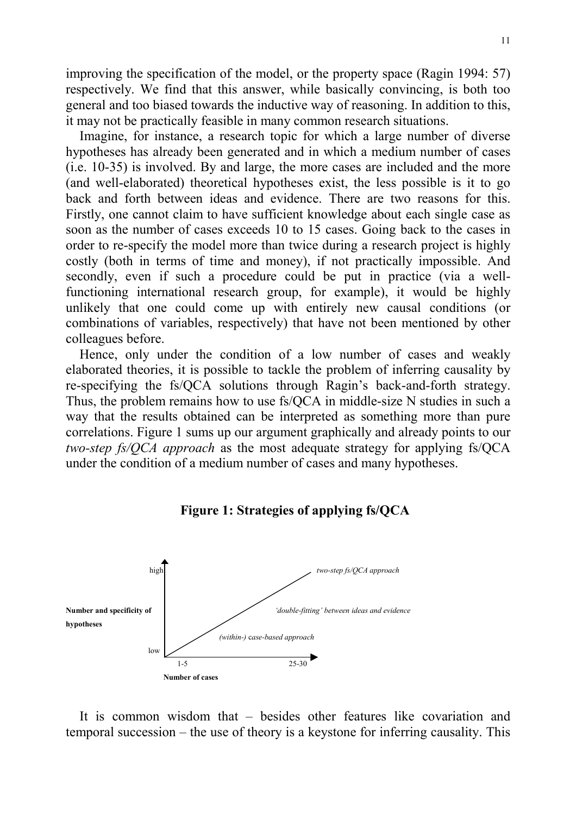improving the specification of the model, or the property space (Ragin 1994: 57) respectively. We find that this answer, while basically convincing, is both too general and too biased towards the inductive way of reasoning. In addition to this, it may not be practically feasible in many common research situations.

Imagine, for instance, a research topic for which a large number of diverse hypotheses has already been generated and in which a medium number of cases (i.e. 10-35) is involved. By and large, the more cases are included and the more (and well-elaborated) theoretical hypotheses exist, the less possible is it to go back and forth between ideas and evidence. There are two reasons for this. Firstly, one cannot claim to have sufficient knowledge about each single case as soon as the number of cases exceeds 10 to 15 cases. Going back to the cases in order to re-specify the model more than twice during a research project is highly costly (both in terms of time and money), if not practically impossible. And secondly, even if such a procedure could be put in practice (via a wellfunctioning international research group, for example), it would be highly unlikely that one could come up with entirely new causal conditions (or combinations of variables, respectively) that have not been mentioned by other colleagues before.

Hence, only under the condition of a low number of cases and weakly elaborated theories, it is possible to tackle the problem of inferring causality by re-specifying the fs/QCA solutions through Ragin's back-and-forth strategy. Thus, the problem remains how to use fs/QCA in middle-size N studies in such a way that the results obtained can be interpreted as something more than pure correlations. Figure 1 sums up our argument graphically and already points to our *two-step fs/QCA approach* as the most adequate strategy for applying fs/QCA under the condition of a medium number of cases and many hypotheses.





It is common wisdom that – besides other features like covariation and temporal succession – the use of theory is a keystone for inferring causality. This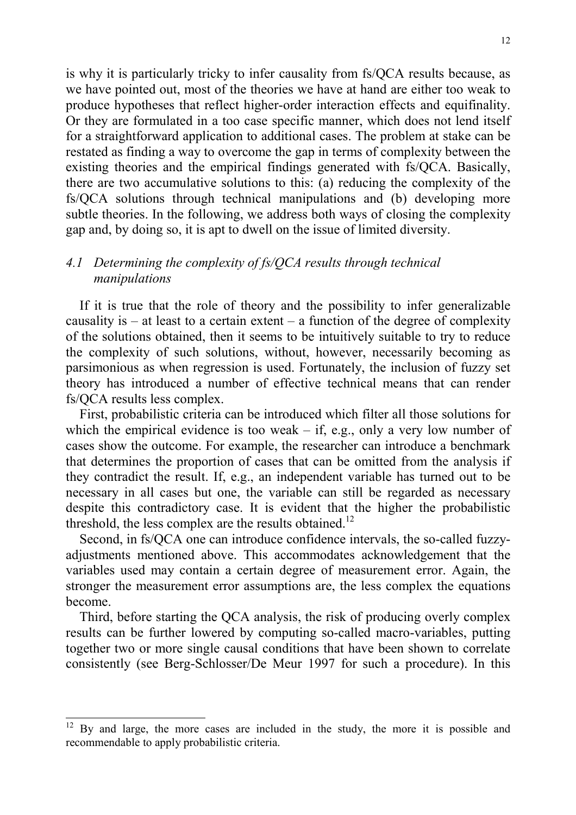is why it is particularly tricky to infer causality from fs/QCA results because, as we have pointed out, most of the theories we have at hand are either too weak to produce hypotheses that reflect higher-order interaction effects and equifinality. Or they are formulated in a too case specific manner, which does not lend itself for a straightforward application to additional cases. The problem at stake can be restated as finding a way to overcome the gap in terms of complexity between the existing theories and the empirical findings generated with fs/QCA. Basically, there are two accumulative solutions to this: (a) reducing the complexity of the fs/QCA solutions through technical manipulations and (b) developing more subtle theories. In the following, we address both ways of closing the complexity gap and, by doing so, it is apt to dwell on the issue of limited diversity.

## *4.1 Determining the complexity of fs/QCA results through technical manipulations*

If it is true that the role of theory and the possibility to infer generalizable causality is  $-$  at least to a certain extent  $-$  a function of the degree of complexity of the solutions obtained, then it seems to be intuitively suitable to try to reduce the complexity of such solutions, without, however, necessarily becoming as parsimonious as when regression is used. Fortunately, the inclusion of fuzzy set theory has introduced a number of effective technical means that can render fs/QCA results less complex.

First, probabilistic criteria can be introduced which filter all those solutions for which the empirical evidence is too weak – if, e.g., only a very low number of cases show the outcome. For example, the researcher can introduce a benchmark that determines the proportion of cases that can be omitted from the analysis if they contradict the result. If, e.g., an independent variable has turned out to be necessary in all cases but one, the variable can still be regarded as necessary despite this contradictory case. It is evident that the higher the probabilistic threshold, the less complex are the results obtained.<sup>12</sup>

Second, in fs/QCA one can introduce confidence intervals, the so-called fuzzyadjustments mentioned above. This accommodates acknowledgement that the variables used may contain a certain degree of measurement error. Again, the stronger the measurement error assumptions are, the less complex the equations become.

Third, before starting the QCA analysis, the risk of producing overly complex results can be further lowered by computing so-called macro-variables, putting together two or more single causal conditions that have been shown to correlate consistently (see Berg-Schlosser/De Meur 1997 for such a procedure). In this

 $12$  By and large, the more cases are included in the study, the more it is possible and recommendable to apply probabilistic criteria.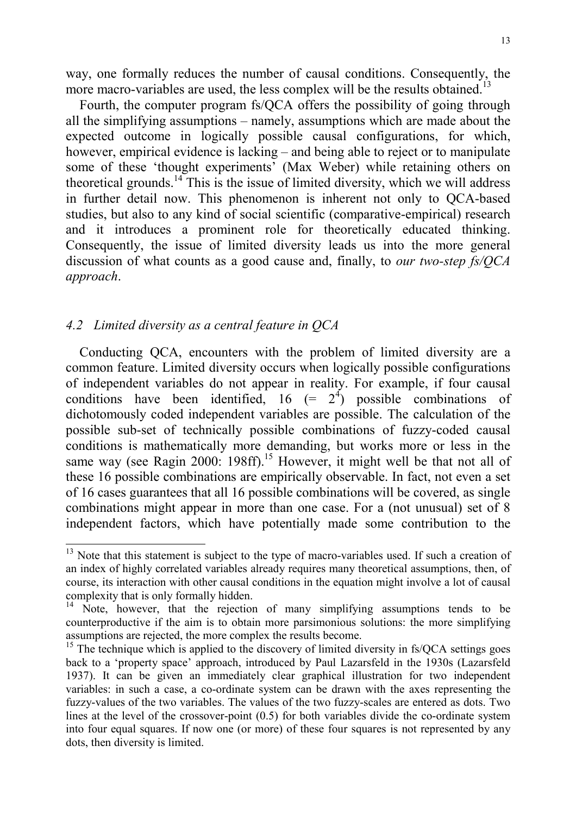way, one formally reduces the number of causal conditions. Consequently, the more macro-variables are used, the less complex will be the results obtained.<sup>13</sup>

Fourth, the computer program fs/QCA offers the possibility of going through all the simplifying assumptions – namely, assumptions which are made about the expected outcome in logically possible causal configurations, for which, however, empirical evidence is lacking – and being able to reject or to manipulate some of these 'thought experiments' (Max Weber) while retaining others on theoretical grounds.<sup>14</sup> This is the issue of limited diversity, which we will address in further detail now. This phenomenon is inherent not only to QCA-based studies, but also to any kind of social scientific (comparative-empirical) research and it introduces a prominent role for theoretically educated thinking. Consequently, the issue of limited diversity leads us into the more general discussion of what counts as a good cause and, finally, to *our two-step fs/QCA approach*.

## *4.2 Limited diversity as a central feature in QCA*

l

Conducting QCA, encounters with the problem of limited diversity are a common feature. Limited diversity occurs when logically possible configurations of independent variables do not appear in reality. For example, if four causal conditions have been identified,  $16 (= 2<sup>4</sup>)$  possible combinations of dichotomously coded independent variables are possible. The calculation of the possible sub-set of technically possible combinations of fuzzy-coded causal conditions is mathematically more demanding, but works more or less in the same way (see Ragin 2000: 198ff).<sup>15</sup> However, it might well be that not all of these 16 possible combinations are empirically observable. In fact, not even a set of 16 cases guarantees that all 16 possible combinations will be covered, as single combinations might appear in more than one case. For a (not unusual) set of 8 independent factors, which have potentially made some contribution to the

 $13$  Note that this statement is subject to the type of macro-variables used. If such a creation of an index of highly correlated variables already requires many theoretical assumptions, then, of course, its interaction with other causal conditions in the equation might involve a lot of causal complexity that is only formally hidden.

<sup>&</sup>lt;sup>14</sup> Note, however, that the rejection of many simplifying assumptions tends to be counterproductive if the aim is to obtain more parsimonious solutions: the more simplifying assumptions are rejected, the more complex the results become.

 $15$  The technique which is applied to the discovery of limited diversity in fs/QCA settings goes back to a 'property space' approach, introduced by Paul Lazarsfeld in the 1930s (Lazarsfeld 1937). It can be given an immediately clear graphical illustration for two independent variables: in such a case, a co-ordinate system can be drawn with the axes representing the fuzzy-values of the two variables. The values of the two fuzzy-scales are entered as dots. Two lines at the level of the crossover-point (0.5) for both variables divide the co-ordinate system into four equal squares. If now one (or more) of these four squares is not represented by any dots, then diversity is limited.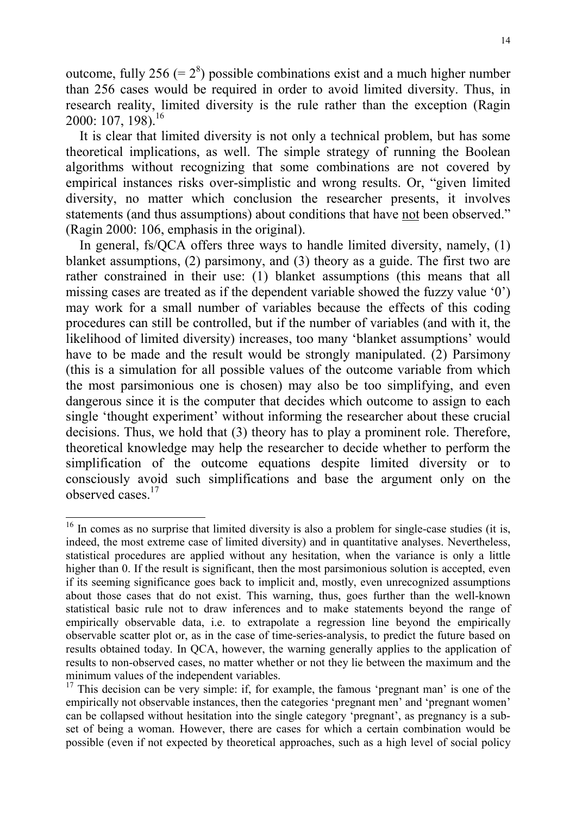outcome, fully 256 (=  $2^8$ ) possible combinations exist and a much higher number than 256 cases would be required in order to avoid limited diversity. Thus, in research reality, limited diversity is the rule rather than the exception (Ragin 2000: 107, 198).<sup>16</sup>

It is clear that limited diversity is not only a technical problem, but has some theoretical implications, as well. The simple strategy of running the Boolean algorithms without recognizing that some combinations are not covered by empirical instances risks over-simplistic and wrong results. Or, "given limited diversity, no matter which conclusion the researcher presents, it involves statements (and thus assumptions) about conditions that have not been observed." (Ragin 2000: 106, emphasis in the original).

In general, fs/QCA offers three ways to handle limited diversity, namely, (1) blanket assumptions, (2) parsimony, and (3) theory as a guide. The first two are rather constrained in their use: (1) blanket assumptions (this means that all missing cases are treated as if the dependent variable showed the fuzzy value '0') may work for a small number of variables because the effects of this coding procedures can still be controlled, but if the number of variables (and with it, the likelihood of limited diversity) increases, too many 'blanket assumptions' would have to be made and the result would be strongly manipulated. (2) Parsimony (this is a simulation for all possible values of the outcome variable from which the most parsimonious one is chosen) may also be too simplifying, and even dangerous since it is the computer that decides which outcome to assign to each single 'thought experiment' without informing the researcher about these crucial decisions. Thus, we hold that (3) theory has to play a prominent role. Therefore, theoretical knowledge may help the researcher to decide whether to perform the simplification of the outcome equations despite limited diversity or to consciously avoid such simplifications and base the argument only on the observed cases<sup>17</sup>

l  $16$  In comes as no surprise that limited diversity is also a problem for single-case studies (it is, indeed, the most extreme case of limited diversity) and in quantitative analyses. Nevertheless, statistical procedures are applied without any hesitation, when the variance is only a little higher than 0. If the result is significant, then the most parsimonious solution is accepted, even if its seeming significance goes back to implicit and, mostly, even unrecognized assumptions about those cases that do not exist. This warning, thus, goes further than the well-known statistical basic rule not to draw inferences and to make statements beyond the range of empirically observable data, i.e. to extrapolate a regression line beyond the empirically observable scatter plot or, as in the case of time-series-analysis, to predict the future based on results obtained today. In QCA, however, the warning generally applies to the application of results to non-observed cases, no matter whether or not they lie between the maximum and the minimum values of the independent variables.

<sup>&</sup>lt;sup>17</sup> This decision can be very simple: if, for example, the famous 'pregnant man' is one of the empirically not observable instances, then the categories 'pregnant men' and 'pregnant women' can be collapsed without hesitation into the single category 'pregnant', as pregnancy is a subset of being a woman. However, there are cases for which a certain combination would be possible (even if not expected by theoretical approaches, such as a high level of social policy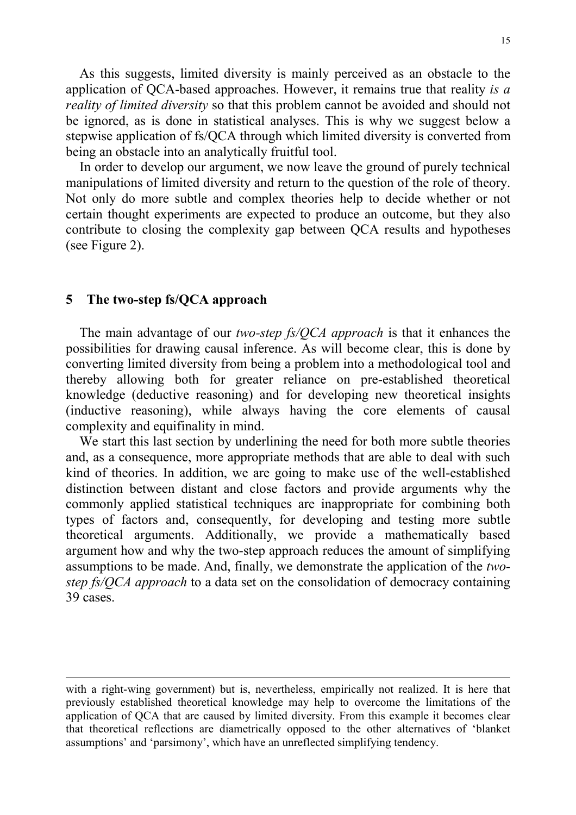As this suggests, limited diversity is mainly perceived as an obstacle to the application of QCA-based approaches. However, it remains true that reality *is a reality of limited diversity* so that this problem cannot be avoided and should not be ignored, as is done in statistical analyses. This is why we suggest below a stepwise application of fs/QCA through which limited diversity is converted from being an obstacle into an analytically fruitful tool.

In order to develop our argument, we now leave the ground of purely technical manipulations of limited diversity and return to the question of the role of theory. Not only do more subtle and complex theories help to decide whether or not certain thought experiments are expected to produce an outcome, but they also contribute to closing the complexity gap between QCA results and hypotheses (see Figure 2).

#### **5 The two-step fs/QCA approach**

l

The main advantage of our *two-step fs/QCA approach* is that it enhances the possibilities for drawing causal inference. As will become clear, this is done by converting limited diversity from being a problem into a methodological tool and thereby allowing both for greater reliance on pre-established theoretical knowledge (deductive reasoning) and for developing new theoretical insights (inductive reasoning), while always having the core elements of causal complexity and equifinality in mind.

We start this last section by underlining the need for both more subtle theories and, as a consequence, more appropriate methods that are able to deal with such kind of theories. In addition, we are going to make use of the well-established distinction between distant and close factors and provide arguments why the commonly applied statistical techniques are inappropriate for combining both types of factors and, consequently, for developing and testing more subtle theoretical arguments. Additionally, we provide a mathematically based argument how and why the two-step approach reduces the amount of simplifying assumptions to be made. And, finally, we demonstrate the application of the *twostep fs/QCA approach* to a data set on the consolidation of democracy containing 39 cases.

with a right-wing government) but is, nevertheless, empirically not realized. It is here that previously established theoretical knowledge may help to overcome the limitations of the application of QCA that are caused by limited diversity. From this example it becomes clear that theoretical reflections are diametrically opposed to the other alternatives of 'blanket assumptions' and 'parsimony', which have an unreflected simplifying tendency.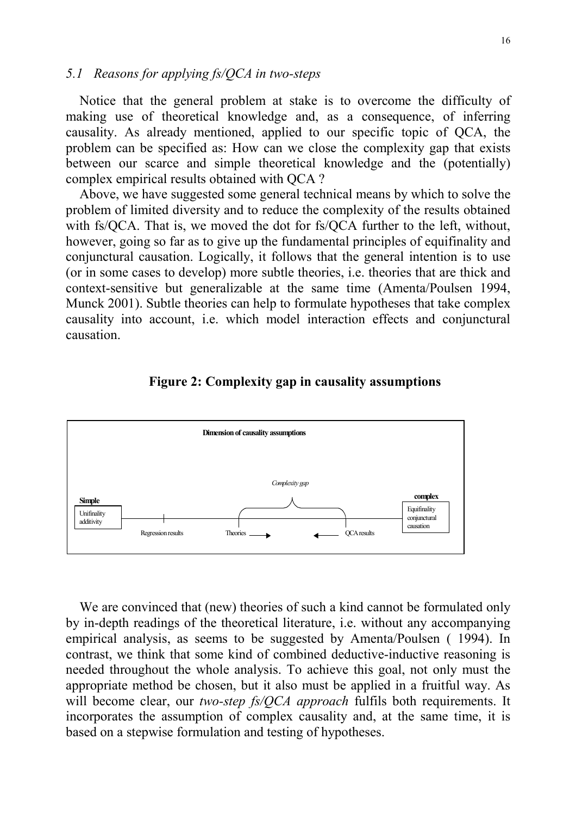#### *5.1 Reasons for applying fs/QCA in two-steps*

Notice that the general problem at stake is to overcome the difficulty of making use of theoretical knowledge and, as a consequence, of inferring causality. As already mentioned, applied to our specific topic of QCA, the problem can be specified as: How can we close the complexity gap that exists between our scarce and simple theoretical knowledge and the (potentially) complex empirical results obtained with QCA ?

Above, we have suggested some general technical means by which to solve the problem of limited diversity and to reduce the complexity of the results obtained with fs/QCA. That is, we moved the dot for fs/QCA further to the left, without, however, going so far as to give up the fundamental principles of equifinality and conjunctural causation. Logically, it follows that the general intention is to use (or in some cases to develop) more subtle theories, i.e. theories that are thick and context-sensitive but generalizable at the same time (Amenta/Poulsen 1994, Munck 2001). Subtle theories can help to formulate hypotheses that take complex causality into account, i.e. which model interaction effects and conjunctural causation.

#### **Figure 2: Complexity gap in causality assumptions**



We are convinced that (new) theories of such a kind cannot be formulated only by in-depth readings of the theoretical literature, i.e. without any accompanying empirical analysis, as seems to be suggested by Amenta/Poulsen ( 1994). In contrast, we think that some kind of combined deductive-inductive reasoning is needed throughout the whole analysis. To achieve this goal, not only must the appropriate method be chosen, but it also must be applied in a fruitful way. As will become clear, our *two-step fs/QCA approach* fulfils both requirements. It incorporates the assumption of complex causality and, at the same time, it is based on a stepwise formulation and testing of hypotheses.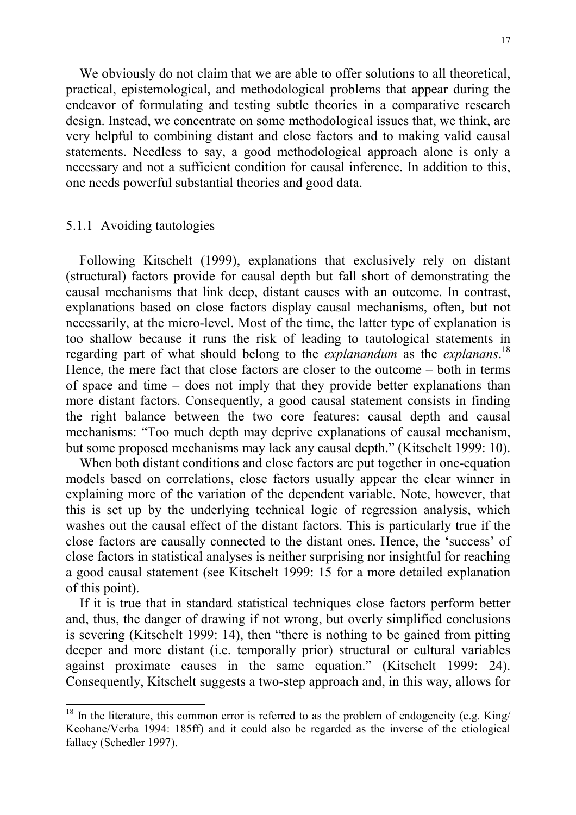We obviously do not claim that we are able to offer solutions to all theoretical, practical, epistemological, and methodological problems that appear during the endeavor of formulating and testing subtle theories in a comparative research design. Instead, we concentrate on some methodological issues that, we think, are very helpful to combining distant and close factors and to making valid causal statements. Needless to say, a good methodological approach alone is only a necessary and not a sufficient condition for causal inference. In addition to this, one needs powerful substantial theories and good data.

#### 5.1.1 Avoiding tautologies

l

Following Kitschelt (1999), explanations that exclusively rely on distant (structural) factors provide for causal depth but fall short of demonstrating the causal mechanisms that link deep, distant causes with an outcome. In contrast, explanations based on close factors display causal mechanisms, often, but not necessarily, at the micro-level. Most of the time, the latter type of explanation is too shallow because it runs the risk of leading to tautological statements in regarding part of what should belong to the *explanandum* as the *explanans*. 18 Hence, the mere fact that close factors are closer to the outcome – both in terms of space and time – does not imply that they provide better explanations than more distant factors. Consequently, a good causal statement consists in finding the right balance between the two core features: causal depth and causal mechanisms: "Too much depth may deprive explanations of causal mechanism, but some proposed mechanisms may lack any causal depth." (Kitschelt 1999: 10).

When both distant conditions and close factors are put together in one-equation models based on correlations, close factors usually appear the clear winner in explaining more of the variation of the dependent variable. Note, however, that this is set up by the underlying technical logic of regression analysis, which washes out the causal effect of the distant factors. This is particularly true if the close factors are causally connected to the distant ones. Hence, the 'success' of close factors in statistical analyses is neither surprising nor insightful for reaching a good causal statement (see Kitschelt 1999: 15 for a more detailed explanation of this point).

If it is true that in standard statistical techniques close factors perform better and, thus, the danger of drawing if not wrong, but overly simplified conclusions is severing (Kitschelt 1999: 14), then "there is nothing to be gained from pitting deeper and more distant (i.e. temporally prior) structural or cultural variables against proximate causes in the same equation." (Kitschelt 1999: 24). Consequently, Kitschelt suggests a two-step approach and, in this way, allows for

 $18$  In the literature, this common error is referred to as the problem of endogeneity (e.g. King/ Keohane/Verba 1994: 185ff) and it could also be regarded as the inverse of the etiological fallacy (Schedler 1997).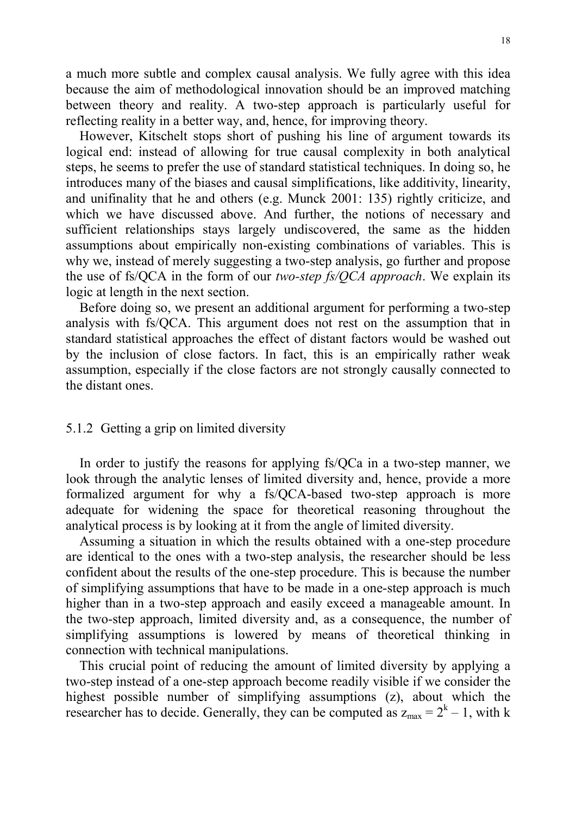a much more subtle and complex causal analysis. We fully agree with this idea because the aim of methodological innovation should be an improved matching between theory and reality. A two-step approach is particularly useful for reflecting reality in a better way, and, hence, for improving theory.

However, Kitschelt stops short of pushing his line of argument towards its logical end: instead of allowing for true causal complexity in both analytical steps, he seems to prefer the use of standard statistical techniques. In doing so, he introduces many of the biases and causal simplifications, like additivity, linearity, and unifinality that he and others (e.g. Munck 2001: 135) rightly criticize, and which we have discussed above. And further, the notions of necessary and sufficient relationships stays largely undiscovered, the same as the hidden assumptions about empirically non-existing combinations of variables. This is why we, instead of merely suggesting a two-step analysis, go further and propose the use of fs/QCA in the form of our *two-step fs/QCA approach*. We explain its logic at length in the next section.

Before doing so, we present an additional argument for performing a two-step analysis with fs/QCA. This argument does not rest on the assumption that in standard statistical approaches the effect of distant factors would be washed out by the inclusion of close factors. In fact, this is an empirically rather weak assumption, especially if the close factors are not strongly causally connected to the distant ones.

### 5.1.2 Getting a grip on limited diversity

In order to justify the reasons for applying fs/QCa in a two-step manner, we look through the analytic lenses of limited diversity and, hence, provide a more formalized argument for why a fs/QCA-based two-step approach is more adequate for widening the space for theoretical reasoning throughout the analytical process is by looking at it from the angle of limited diversity.

Assuming a situation in which the results obtained with a one-step procedure are identical to the ones with a two-step analysis, the researcher should be less confident about the results of the one-step procedure. This is because the number of simplifying assumptions that have to be made in a one-step approach is much higher than in a two-step approach and easily exceed a manageable amount. In the two-step approach, limited diversity and, as a consequence, the number of simplifying assumptions is lowered by means of theoretical thinking in connection with technical manipulations.

This crucial point of reducing the amount of limited diversity by applying a two-step instead of a one-step approach become readily visible if we consider the highest possible number of simplifying assumptions (z), about which the researcher has to decide. Generally, they can be computed as  $z_{max} = 2<sup>k</sup> - 1$ , with k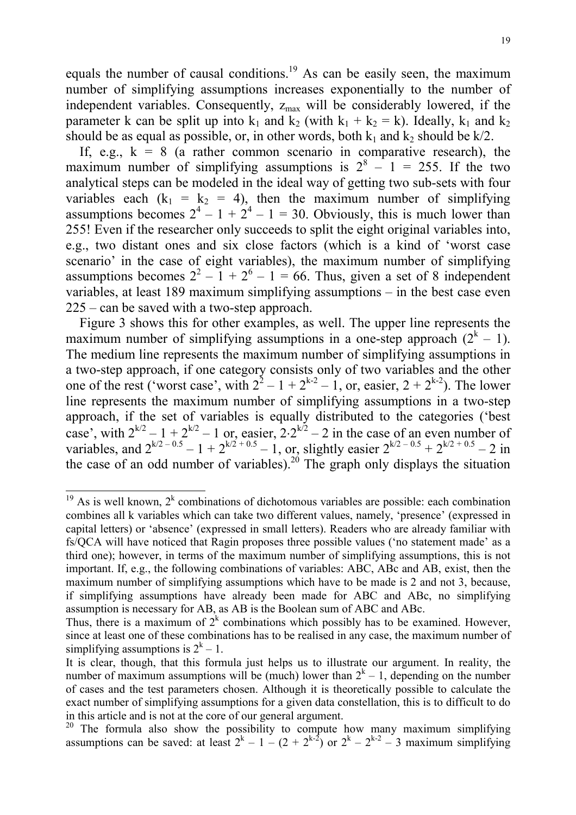equals the number of causal conditions.<sup>19</sup> As can be easily seen, the maximum number of simplifying assumptions increases exponentially to the number of independent variables. Consequently,  $z_{\text{max}}$  will be considerably lowered, if the parameter k can be split up into  $k_1$  and  $k_2$  (with  $k_1 + k_2 = k$ ). Ideally,  $k_1$  and  $k_2$ should be as equal as possible, or, in other words, both  $k_1$  and  $k_2$  should be  $k/2$ .

If, e.g.,  $k = 8$  (a rather common scenario in comparative research), the maximum number of simplifying assumptions is  $2^8 - 1 = 255$ . If the two analytical steps can be modeled in the ideal way of getting two sub-sets with four variables each  $(k_1 = k_2 = 4)$ , then the maximum number of simplifying assumptions becomes  $2^4 - 1 + 2^4 - 1 = 30$ . Obviously, this is much lower than 255! Even if the researcher only succeeds to split the eight original variables into, e.g., two distant ones and six close factors (which is a kind of 'worst case scenario' in the case of eight variables), the maximum number of simplifying assumptions becomes  $2^2 - 1 + 2^6 - 1 = 66$ . Thus, given a set of 8 independent variables, at least 189 maximum simplifying assumptions – in the best case even 225 – can be saved with a two-step approach.

Figure 3 shows this for other examples, as well. The upper line represents the maximum number of simplifying assumptions in a one-step approach  $(2<sup>k</sup> - 1)$ . The medium line represents the maximum number of simplifying assumptions in a two-step approach, if one category consists only of two variables and the other one of the rest ('worst case', with  $2^2 - 1 + 2^{k-2} - 1$ , or, easier,  $2 + 2^{k-2}$ ). The lower line represents the maximum number of simplifying assumptions in a two-step approach, if the set of variables is equally distributed to the categories ('best case', with  $2^{k/2} - 1 + 2^{k/2} - 1$  or, easier,  $2 \cdot 2^{k/2} - 2$  in the case of an even number of variables, and  $2^{k/2 - 0.5} - 1 + 2^{k/2 + 0.5} - 1$ , or, slightly easier  $2^{k/2 - 0.5} + 2^{k/2 + 0.5} - 2$  in the case of an odd number of variables).<sup>20</sup> The graph only displays the situation

<sup>&</sup>lt;sup>19</sup> As is well known,  $2^k$  combinations of dichotomous variables are possible: each combination combines all k variables which can take two different values, namely, 'presence' (expressed in capital letters) or 'absence' (expressed in small letters). Readers who are already familiar with fs/QCA will have noticed that Ragin proposes three possible values ('no statement made' as a third one); however, in terms of the maximum number of simplifying assumptions, this is not important. If, e.g., the following combinations of variables: ABC, ABc and AB, exist, then the maximum number of simplifying assumptions which have to be made is 2 and not 3, because, if simplifying assumptions have already been made for ABC and ABc, no simplifying assumption is necessary for AB, as AB is the Boolean sum of ABC and ABc.

Thus, there is a maximum of  $2^k$  combinations which possibly has to be examined. However, since at least one of these combinations has to be realised in any case, the maximum number of simplifying assumptions is  $2<sup>k</sup> - 1$ .

It is clear, though, that this formula just helps us to illustrate our argument. In reality, the number of maximum assumptions will be (much) lower than  $2<sup>k</sup> - 1$ , depending on the number of cases and the test parameters chosen. Although it is theoretically possible to calculate the exact number of simplifying assumptions for a given data constellation, this is to difficult to do in this article and is not at the core of our general argument.

 $20$  The formula also show the possibility to compute how many maximum simplifying assumptions can be saved: at least  $2^{k} - 1 - (2 + 2^{k-2})$  or  $2^{k} - 2^{k-2} - 3$  maximum simplifying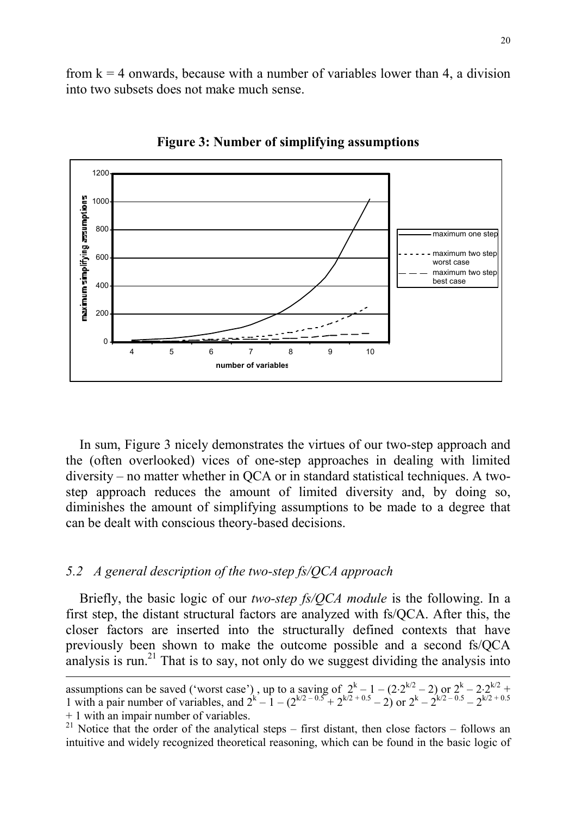from  $k = 4$  onwards, because with a number of variables lower than 4, a division into two subsets does not make much sense.



**Figure 3: Number of simplifying assumptions**

In sum, Figure 3 nicely demonstrates the virtues of our two-step approach and the (often overlooked) vices of one-step approaches in dealing with limited diversity – no matter whether in QCA or in standard statistical techniques. A twostep approach reduces the amount of limited diversity and, by doing so, diminishes the amount of simplifying assumptions to be made to a degree that can be dealt with conscious theory-based decisions.

#### *5.2 A general description of the two-step fs/QCA approach*

Briefly, the basic logic of our *two-step fs/QCA module* is the following. In a first step, the distant structural factors are analyzed with fs/QCA. After this, the closer factors are inserted into the structurally defined contexts that have previously been shown to make the outcome possible and a second fs/QCA analysis is run.<sup>21</sup> That is to say, not only do we suggest dividing the analysis into

assumptions can be saved ('worst case'), up to a saving of  $2^k - 1 - (2 \cdot 2^{k/2} - 2)$  or  $2^k - 2 \cdot 2^{k/2}$  + 1 with a pair number of variables, and  $2^{k} - 1 - (2^{k/2 - 0.5} + 2^{k/2 + 0.5} - 2)$  or  $2^{k} - 2^{k/2 - 0.5} - 2^{k/2 + 0.5}$ 

<sup>+ 1</sup> with an impair number of variables.

<sup>&</sup>lt;sup>21</sup> Notice that the order of the analytical steps – first distant, then close factors – follows an intuitive and widely recognized theoretical reasoning, which can be found in the basic logic of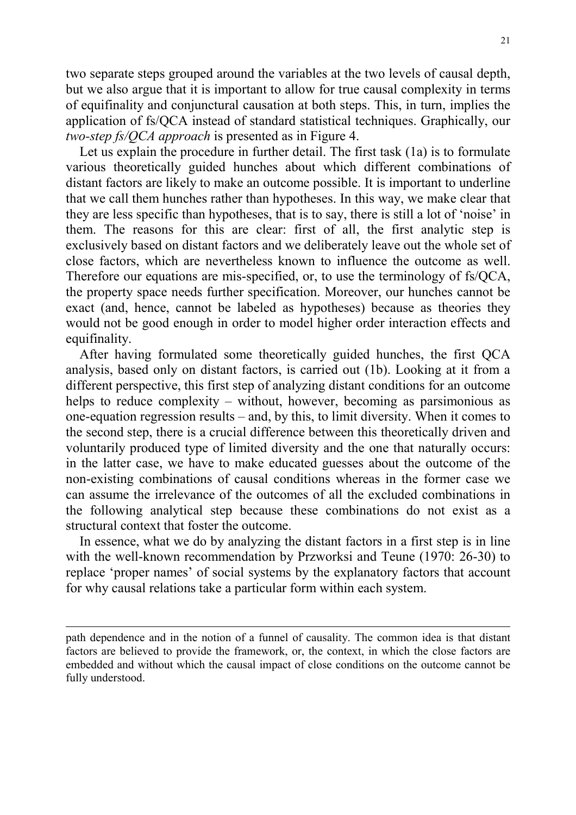two separate steps grouped around the variables at the two levels of causal depth, but we also argue that it is important to allow for true causal complexity in terms of equifinality and conjunctural causation at both steps. This, in turn, implies the application of fs/QCA instead of standard statistical techniques. Graphically, our *two-step fs/QCA approach* is presented as in Figure 4.

Let us explain the procedure in further detail. The first task (1a) is to formulate various theoretically guided hunches about which different combinations of distant factors are likely to make an outcome possible. It is important to underline that we call them hunches rather than hypotheses. In this way, we make clear that they are less specific than hypotheses, that is to say, there is still a lot of 'noise' in them. The reasons for this are clear: first of all, the first analytic step is exclusively based on distant factors and we deliberately leave out the whole set of close factors, which are nevertheless known to influence the outcome as well. Therefore our equations are mis-specified, or, to use the terminology of fs/QCA, the property space needs further specification. Moreover, our hunches cannot be exact (and, hence, cannot be labeled as hypotheses) because as theories they would not be good enough in order to model higher order interaction effects and equifinality.

After having formulated some theoretically guided hunches, the first QCA analysis, based only on distant factors, is carried out (1b). Looking at it from a different perspective, this first step of analyzing distant conditions for an outcome helps to reduce complexity – without, however, becoming as parsimonious as one-equation regression results – and, by this, to limit diversity. When it comes to the second step, there is a crucial difference between this theoretically driven and voluntarily produced type of limited diversity and the one that naturally occurs: in the latter case, we have to make educated guesses about the outcome of the non-existing combinations of causal conditions whereas in the former case we can assume the irrelevance of the outcomes of all the excluded combinations in the following analytical step because these combinations do not exist as a structural context that foster the outcome.

In essence, what we do by analyzing the distant factors in a first step is in line with the well-known recommendation by Przworksi and Teune (1970: 26-30) to replace 'proper names' of social systems by the explanatory factors that account for why causal relations take a particular form within each system.

path dependence and in the notion of a funnel of causality. The common idea is that distant factors are believed to provide the framework, or, the context, in which the close factors are embedded and without which the causal impact of close conditions on the outcome cannot be fully understood.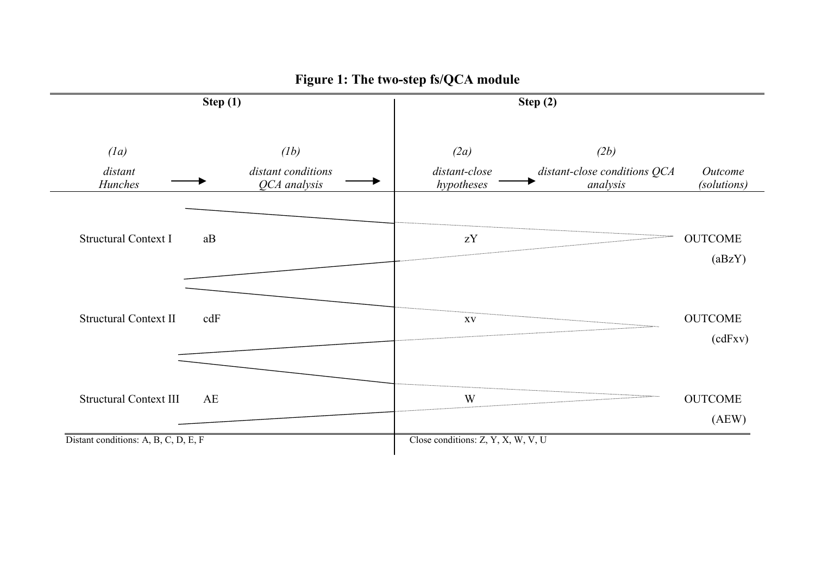

## **Figure 1: The two-step fs/QCA module**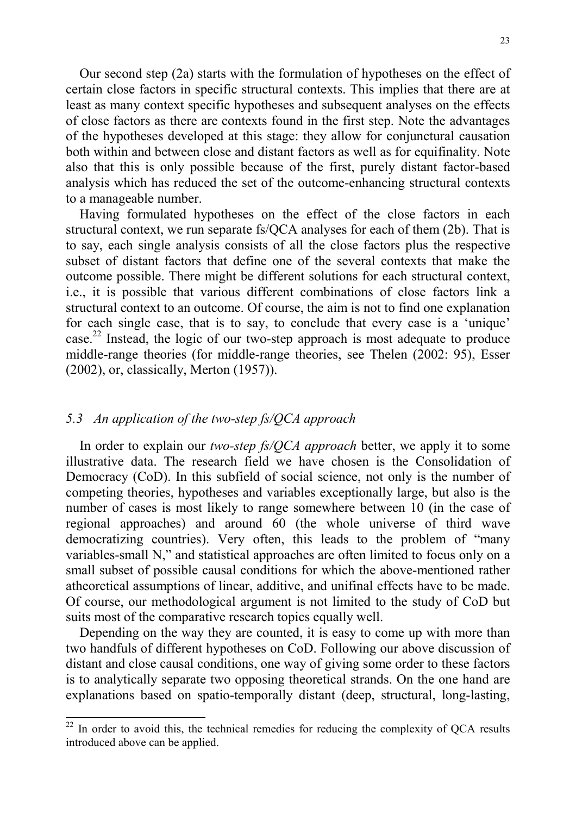Our second step (2a) starts with the formulation of hypotheses on the effect of certain close factors in specific structural contexts. This implies that there are at least as many context specific hypotheses and subsequent analyses on the effects of close factors as there are contexts found in the first step. Note the advantages of the hypotheses developed at this stage: they allow for conjunctural causation both within and between close and distant factors as well as for equifinality. Note also that this is only possible because of the first, purely distant factor-based analysis which has reduced the set of the outcome-enhancing structural contexts to a manageable number.

Having formulated hypotheses on the effect of the close factors in each structural context, we run separate fs/QCA analyses for each of them (2b). That is to say, each single analysis consists of all the close factors plus the respective subset of distant factors that define one of the several contexts that make the outcome possible. There might be different solutions for each structural context, i.e., it is possible that various different combinations of close factors link a structural context to an outcome. Of course, the aim is not to find one explanation for each single case, that is to say, to conclude that every case is a 'unique' case. 22 Instead, the logic of our two-step approach is most adequate to produce middle-range theories (for middle-range theories, see Thelen (2002: 95), Esser (2002), or, classically, Merton (1957)).

#### *5.3 An application of the two-step fs/QCA approach*

l

In order to explain our *two-step fs/QCA approach* better, we apply it to some illustrative data. The research field we have chosen is the Consolidation of Democracy (CoD). In this subfield of social science, not only is the number of competing theories, hypotheses and variables exceptionally large, but also is the number of cases is most likely to range somewhere between 10 (in the case of regional approaches) and around 60 (the whole universe of third wave democratizing countries). Very often, this leads to the problem of "many variables-small N," and statistical approaches are often limited to focus only on a small subset of possible causal conditions for which the above-mentioned rather atheoretical assumptions of linear, additive, and unifinal effects have to be made. Of course, our methodological argument is not limited to the study of CoD but suits most of the comparative research topics equally well.

Depending on the way they are counted, it is easy to come up with more than two handfuls of different hypotheses on CoD. Following our above discussion of distant and close causal conditions, one way of giving some order to these factors is to analytically separate two opposing theoretical strands. On the one hand are explanations based on spatio-temporally distant (deep, structural, long-lasting,

 $22$  In order to avoid this, the technical remedies for reducing the complexity of QCA results introduced above can be applied.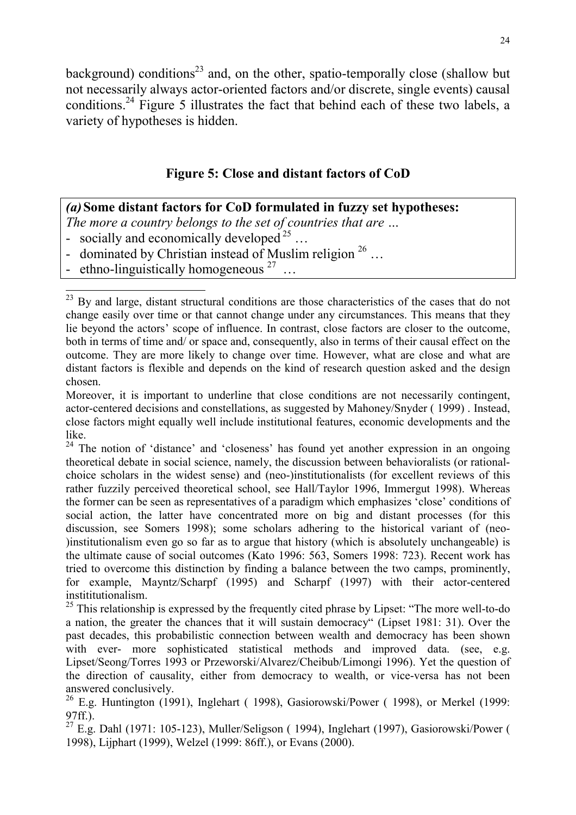background) conditions<sup>23</sup> and, on the other, spatio-temporally close (shallow but not necessarily always actor-oriented factors and/or discrete, single events) causal conditions.24 Figure 5 illustrates the fact that behind each of these two labels, a variety of hypotheses is hidden.

## **Figure 5: Close and distant factors of CoD**

## *(a)***Some distant factors for CoD formulated in fuzzy set hypotheses:**

*The more a country belongs to the set of countries that are …*

- socially and economically developed  $^{25}$  ...

- dominated by Christian instead of Muslim religion  $^{26}$  ...
- ethno-linguistically homogeneous  $27$  ...

l

<sup>24</sup> The notion of 'distance' and 'closeness' has found yet another expression in an ongoing theoretical debate in social science, namely, the discussion between behavioralists (or rationalchoice scholars in the widest sense) and (neo-)institutionalists (for excellent reviews of this rather fuzzily perceived theoretical school, see Hall/Taylor 1996, Immergut 1998). Whereas the former can be seen as representatives of a paradigm which emphasizes 'close' conditions of social action, the latter have concentrated more on big and distant processes (for this discussion, see Somers 1998); some scholars adhering to the historical variant of (neo- )institutionalism even go so far as to argue that history (which is absolutely unchangeable) is the ultimate cause of social outcomes (Kato 1996: 563, Somers 1998: 723). Recent work has tried to overcome this distinction by finding a balance between the two camps, prominently, for example, Mayntz/Scharpf (1995) and Scharpf (1997) with their actor-centered instititutionalism.

 $25$  This relationship is expressed by the frequently cited phrase by Lipset: "The more well-to-do a nation, the greater the chances that it will sustain democracy" (Lipset 1981: 31). Over the past decades, this probabilistic connection between wealth and democracy has been shown with ever- more sophisticated statistical methods and improved data. (see, e.g. Lipset/Seong/Torres 1993 or Przeworski/Alvarez/Cheibub/Limongi 1996). Yet the question of the direction of causality, either from democracy to wealth, or vice-versa has not been answered conclusively.

 $26$  E.g. Huntington (1991), Inglehart (1998), Gasiorowski/Power (1998), or Merkel (1999: 97ff.).

 $27$  E.g. Dahl (1971: 105-123), Muller/Seligson (1994), Inglehart (1997), Gasiorowski/Power ( 1998), Lijphart (1999), Welzel (1999: 86ff.), or Evans (2000).

<sup>23</sup> By and large, distant structural conditions are those characteristics of the cases that do not change easily over time or that cannot change under any circumstances. This means that they lie beyond the actors' scope of influence. In contrast, close factors are closer to the outcome, both in terms of time and/ or space and, consequently, also in terms of their causal effect on the outcome. They are more likely to change over time. However, what are close and what are distant factors is flexible and depends on the kind of research question asked and the design chosen.

Moreover, it is important to underline that close conditions are not necessarily contingent, actor-centered decisions and constellations, as suggested by Mahoney/Snyder ( 1999) . Instead, close factors might equally well include institutional features, economic developments and the like.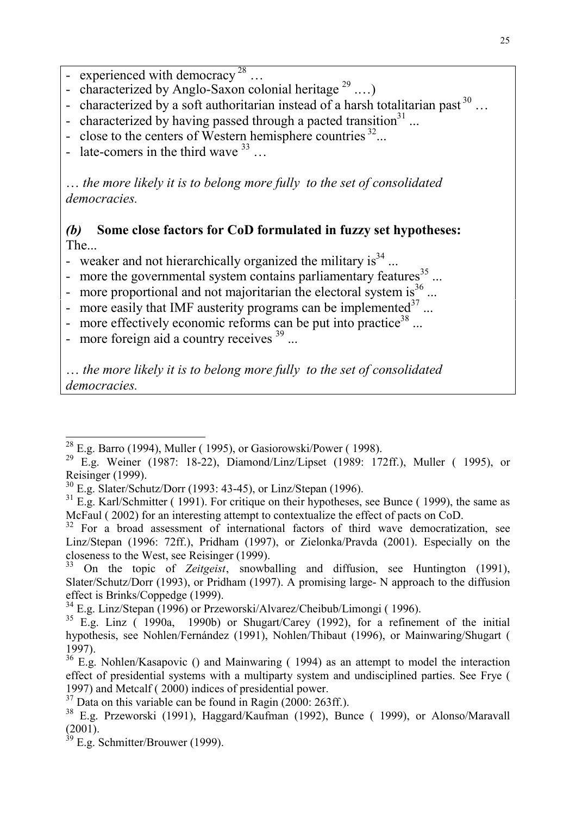- experienced with democracy  $28$  ...
- characterized by Anglo-Saxon colonial heritage  $^{29}$  ....)
- characterized by a soft authoritarian instead of a harsh totalitarian past  $30$  ...
- characterized by having passed through a pacted transition $31$ ...
- close to the centers of Western hemisphere countries  $^{32}$ ...
- late-comers in the third wave  $33$ ...

… *the more likely it is to belong more fully to the set of consolidated democracies.*

## *(b)* **Some close factors for CoD formulated in fuzzy set hypotheses:** The...

- weaker and not hierarchically organized the military is  $s^{34}$ ...
- more the governmental system contains parliamentary features  $35$ ...
- more proportional and not majoritarian the electoral system is  $36$ ...
- more easily that IMF austerity programs can be implemented $37$ ...
- more effectively economic reforms can be put into practice<sup>38</sup> ...
- more foreign aid a country receives  $39$ ...

l

… *the more likely it is to belong more fully to the set of consolidated democracies.*

 $^{28}$  E.g. Barro (1994), Muller (1995), or Gasiorowski/Power (1998).

<sup>&</sup>lt;sup>29</sup> E.g. Weiner (1987: 18-22), Diamond/Linz/Lipset (1989: 172ff.), Muller ( 1995), or Reisinger (1999).

<sup>30</sup> E.g. Slater/Schutz/Dorr (1993: 43-45), or Linz/Stepan (1996).

 $31$  E.g. Karl/Schmitter (1991). For critique on their hypotheses, see Bunce (1999), the same as McFaul ( 2002) for an interesting attempt to contextualize the effect of pacts on CoD.

 $32$  For a broad assessment of international factors of third wave democratization, see Linz/Stepan (1996: 72ff.), Pridham (1997), or Zielonka/Pravda (2001). Especially on the closeness to the West, see Reisinger (1999).

<sup>&</sup>lt;sup>33</sup> On the topic of *Zeitgeist*, snowballing and diffusion, see Huntington (1991), Slater/Schutz/Dorr (1993), or Pridham (1997). A promising large- N approach to the diffusion effect is Brinks/Coppedge (1999).

 $34$  E.g. Linz/Stepan (1996) or Przeworski/Alvarez/Cheibub/Limongi (1996).

 $35$  E.g. Linz ( 1990a, 1990b) or Shugart/Carey (1992), for a refinement of the initial hypothesis, see Nohlen/Fernández (1991), Nohlen/Thibaut (1996), or Mainwaring/Shugart ( 1997).

<sup>&</sup>lt;sup>36</sup> E.g. Nohlen/Kasapovic () and Mainwaring ( 1994) as an attempt to model the interaction effect of presidential systems with a multiparty system and undisciplined parties. See Frye ( 1997) and Metcalf ( 2000) indices of presidential power.

 $37$  Data on this variable can be found in Ragin (2000: 263ff.).

<sup>38</sup> E.g. Przeworski (1991), Haggard/Kaufman (1992), Bunce ( 1999), or Alonso/Maravall (2001).

 $39$  E.g. Schmitter/Brouwer (1999).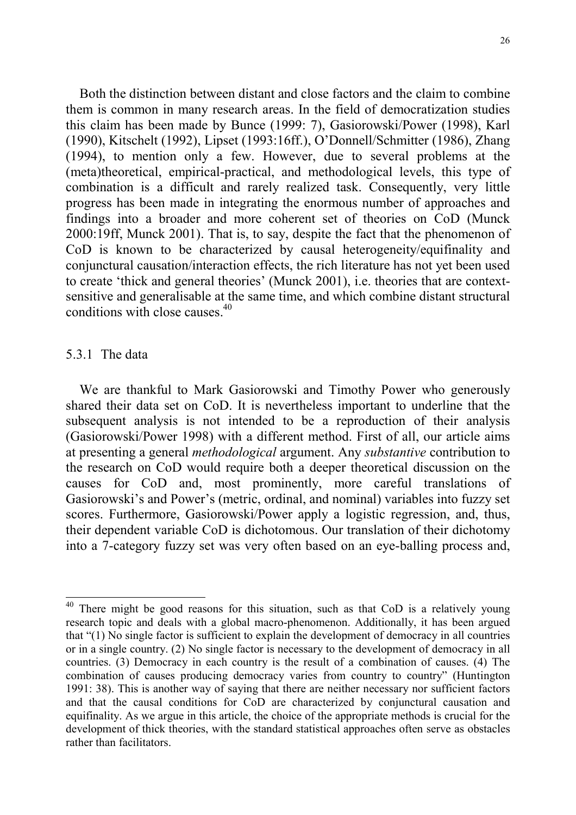Both the distinction between distant and close factors and the claim to combine them is common in many research areas. In the field of democratization studies this claim has been made by Bunce (1999: 7), Gasiorowski/Power (1998), Karl (1990), Kitschelt (1992), Lipset (1993:16ff.), O'Donnell/Schmitter (1986), Zhang (1994), to mention only a few. However, due to several problems at the (meta)theoretical, empirical-practical, and methodological levels, this type of combination is a difficult and rarely realized task. Consequently, very little progress has been made in integrating the enormous number of approaches and findings into a broader and more coherent set of theories on CoD (Munck 2000:19ff, Munck 2001). That is, to say, despite the fact that the phenomenon of CoD is known to be characterized by causal heterogeneity/equifinality and conjunctural causation/interaction effects, the rich literature has not yet been used to create 'thick and general theories' (Munck 2001), i.e. theories that are contextsensitive and generalisable at the same time, and which combine distant structural conditions with close causes. $40$ 

#### 5.3.1 The data

l

We are thankful to Mark Gasiorowski and Timothy Power who generously shared their data set on CoD. It is nevertheless important to underline that the subsequent analysis is not intended to be a reproduction of their analysis (Gasiorowski/Power 1998) with a different method. First of all, our article aims at presenting a general *methodological* argument. Any *substantive* contribution to the research on CoD would require both a deeper theoretical discussion on the causes for CoD and, most prominently, more careful translations of Gasiorowski's and Power's (metric, ordinal, and nominal) variables into fuzzy set scores. Furthermore, Gasiorowski/Power apply a logistic regression, and, thus, their dependent variable CoD is dichotomous. Our translation of their dichotomy into a 7-category fuzzy set was very often based on an eye-balling process and,

 $40$  There might be good reasons for this situation, such as that CoD is a relatively young research topic and deals with a global macro-phenomenon. Additionally, it has been argued that "(1) No single factor is sufficient to explain the development of democracy in all countries or in a single country. (2) No single factor is necessary to the development of democracy in all countries. (3) Democracy in each country is the result of a combination of causes. (4) The combination of causes producing democracy varies from country to country" (Huntington 1991: 38). This is another way of saying that there are neither necessary nor sufficient factors and that the causal conditions for CoD are characterized by conjunctural causation and equifinality. As we argue in this article, the choice of the appropriate methods is crucial for the development of thick theories, with the standard statistical approaches often serve as obstacles rather than facilitators.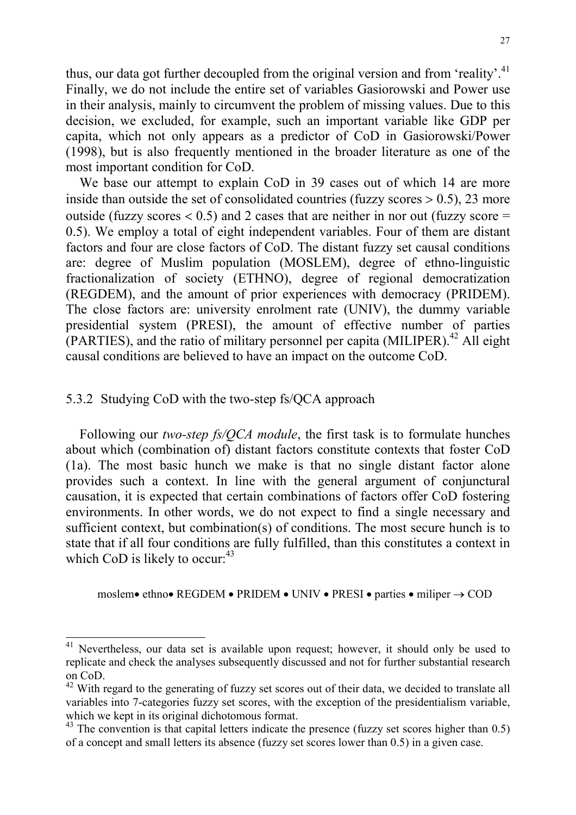thus, our data got further decoupled from the original version and from 'reality'.<sup>41</sup> Finally, we do not include the entire set of variables Gasiorowski and Power use in their analysis, mainly to circumvent the problem of missing values. Due to this decision, we excluded, for example, such an important variable like GDP per capita, which not only appears as a predictor of CoD in Gasiorowski/Power (1998), but is also frequently mentioned in the broader literature as one of the most important condition for CoD.

We base our attempt to explain CoD in 39 cases out of which 14 are more inside than outside the set of consolidated countries (fuzzy scores  $> 0.5$ ), 23 more outside (fuzzy scores  $< 0.5$ ) and 2 cases that are neither in nor out (fuzzy score = 0.5). We employ a total of eight independent variables. Four of them are distant factors and four are close factors of CoD. The distant fuzzy set causal conditions are: degree of Muslim population (MOSLEM), degree of ethno-linguistic fractionalization of society (ETHNO), degree of regional democratization (REGDEM), and the amount of prior experiences with democracy (PRIDEM). The close factors are: university enrolment rate (UNIV), the dummy variable presidential system (PRESI), the amount of effective number of parties  $(PARTIES)$ , and the ratio of military personnel per capita  $(MILIPER)$ <sup>42</sup> All eight causal conditions are believed to have an impact on the outcome CoD.

#### 5.3.2 Studying CoD with the two-step fs/QCA approach

l

Following our *two-step fs/QCA module*, the first task is to formulate hunches about which (combination of) distant factors constitute contexts that foster CoD (1a). The most basic hunch we make is that no single distant factor alone provides such a context. In line with the general argument of conjunctural causation, it is expected that certain combinations of factors offer CoD fostering environments. In other words, we do not expect to find a single necessary and sufficient context, but combination(s) of conditions. The most secure hunch is to state that if all four conditions are fully fulfilled, than this constitutes a context in which CoD is likely to occur:  $43$ 

moslem • ethno • REGDEM • PRIDEM • UNIV • PRESI • parties • miliper  $\rightarrow$  COD

 $41$  Nevertheless, our data set is available upon request; however, it should only be used to replicate and check the analyses subsequently discussed and not for further substantial research on CoD.

<sup>&</sup>lt;sup>42</sup> With regard to the generating of fuzzy set scores out of their data, we decided to translate all variables into 7-categories fuzzy set scores, with the exception of the presidentialism variable, which we kept in its original dichotomous format.

 $43$  The convention is that capital letters indicate the presence (fuzzy set scores higher than 0.5) of a concept and small letters its absence (fuzzy set scores lower than 0.5) in a given case.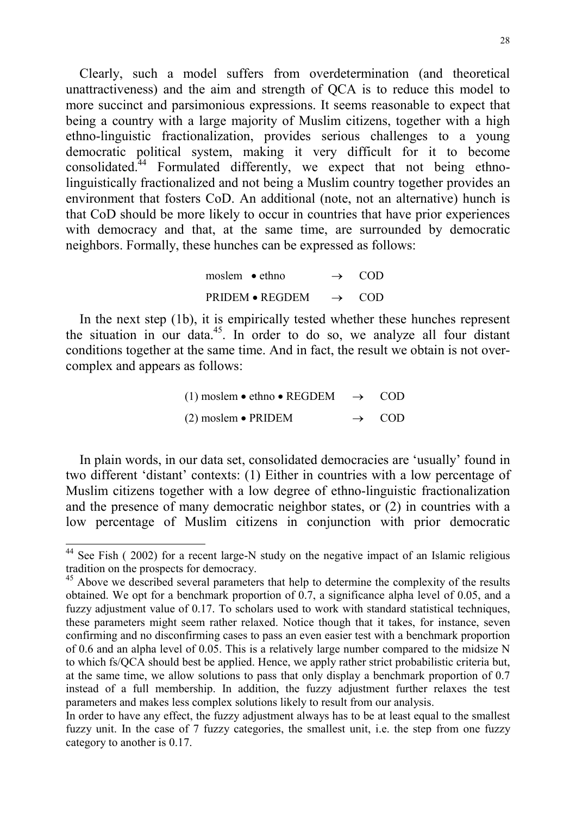Clearly, such a model suffers from overdetermination (and theoretical unattractiveness) and the aim and strength of QCA is to reduce this model to more succinct and parsimonious expressions. It seems reasonable to expect that being a country with a large majority of Muslim citizens, together with a high ethno-linguistic fractionalization, provides serious challenges to a young democratic political system, making it very difficult for it to become consolidated.<sup> $44$ </sup> Formulated differently, we expect that not being ethnolinguistically fractionalized and not being a Muslim country together provides an environment that fosters CoD. An additional (note, not an alternative) hunch is that CoD should be more likely to occur in countries that have prior experiences with democracy and that, at the same time, are surrounded by democratic neighbors. Formally, these hunches can be expressed as follows:

| moslem $\bullet$ ethno |                        | $\rightarrow$ COD |
|------------------------|------------------------|-------------------|
|                        | <b>PRIDEM • REGDEM</b> | $\rightarrow$ COD |

In the next step (1b), it is empirically tested whether these hunches represent the situation in our data.<sup>45</sup>. In order to do so, we analyze all four distant conditions together at the same time. And in fact, the result we obtain is not overcomplex and appears as follows:

> (1) moslem  $\bullet$  ethno  $\bullet$  REGDEM  $\rightarrow$  COD (2) moslem  $\bullet$  PRIDEM  $\rightarrow$ COD

In plain words, in our data set, consolidated democracies are 'usually' found in two different 'distant' contexts: (1) Either in countries with a low percentage of Muslim citizens together with a low degree of ethno-linguistic fractionalization and the presence of many democratic neighbor states, or (2) in countries with a low percentage of Muslim citizens in conjunction with prior democratic

 $44$  See Fish (2002) for a recent large-N study on the negative impact of an Islamic religious tradition on the prospects for democracy.

<sup>&</sup>lt;sup>45</sup> Above we described several parameters that help to determine the complexity of the results obtained. We opt for a benchmark proportion of 0.7, a significance alpha level of 0.05, and a fuzzy adjustment value of 0.17. To scholars used to work with standard statistical techniques, these parameters might seem rather relaxed. Notice though that it takes, for instance, seven confirming and no disconfirming cases to pass an even easier test with a benchmark proportion of 0.6 and an alpha level of 0.05. This is a relatively large number compared to the midsize N to which fs/QCA should best be applied. Hence, we apply rather strict probabilistic criteria but, at the same time, we allow solutions to pass that only display a benchmark proportion of 0.7 instead of a full membership. In addition, the fuzzy adjustment further relaxes the test parameters and makes less complex solutions likely to result from our analysis.

In order to have any effect, the fuzzy adjustment always has to be at least equal to the smallest fuzzy unit. In the case of 7 fuzzy categories, the smallest unit, i.e. the step from one fuzzy category to another is 0.17.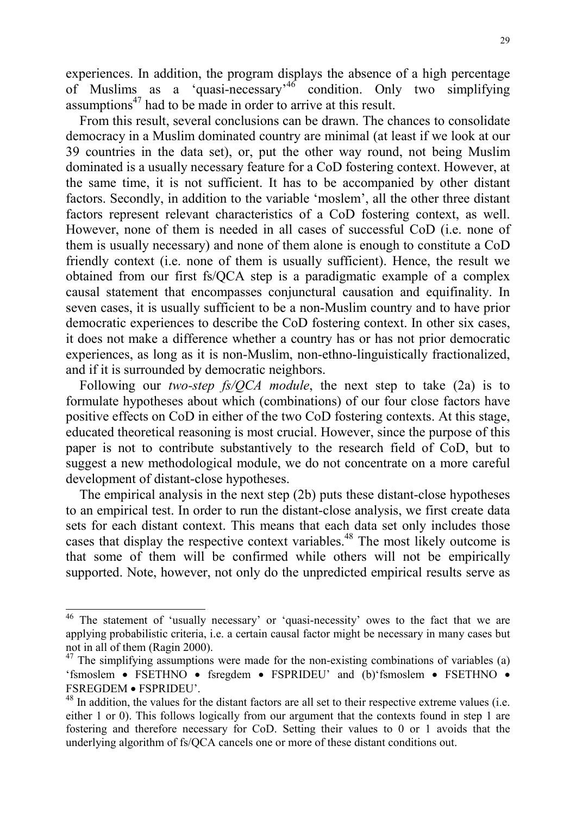experiences. In addition, the program displays the absence of a high percentage of Muslims as a 'quasi-necessary'46 condition. Only two simplifying assumptions<sup>47</sup> had to be made in order to arrive at this result.

From this result, several conclusions can be drawn. The chances to consolidate democracy in a Muslim dominated country are minimal (at least if we look at our 39 countries in the data set), or, put the other way round, not being Muslim dominated is a usually necessary feature for a CoD fostering context. However, at the same time, it is not sufficient. It has to be accompanied by other distant factors. Secondly, in addition to the variable 'moslem', all the other three distant factors represent relevant characteristics of a CoD fostering context, as well. However, none of them is needed in all cases of successful CoD (i.e. none of them is usually necessary) and none of them alone is enough to constitute a CoD friendly context (i.e. none of them is usually sufficient). Hence, the result we obtained from our first fs/QCA step is a paradigmatic example of a complex causal statement that encompasses conjunctural causation and equifinality. In seven cases, it is usually sufficient to be a non-Muslim country and to have prior democratic experiences to describe the CoD fostering context. In other six cases, it does not make a difference whether a country has or has not prior democratic experiences, as long as it is non-Muslim, non-ethno-linguistically fractionalized, and if it is surrounded by democratic neighbors.

Following our *two-step fs/QCA module*, the next step to take (2a) is to formulate hypotheses about which (combinations) of our four close factors have positive effects on CoD in either of the two CoD fostering contexts. At this stage, educated theoretical reasoning is most crucial. However, since the purpose of this paper is not to contribute substantively to the research field of CoD, but to suggest a new methodological module, we do not concentrate on a more careful development of distant-close hypotheses.

The empirical analysis in the next step (2b) puts these distant-close hypotheses to an empirical test. In order to run the distant-close analysis, we first create data sets for each distant context. This means that each data set only includes those cases that display the respective context variables.<sup>48</sup> The most likely outcome is that some of them will be confirmed while others will not be empirically supported. Note, however, not only do the unpredicted empirical results serve as

<sup>&</sup>lt;sup>46</sup> The statement of 'usually necessary' or 'quasi-necessity' owes to the fact that we are applying probabilistic criteria, i.e. a certain causal factor might be necessary in many cases but not in all of them (Ragin 2000).

 $47$  The simplifying assumptions were made for the non-existing combinations of variables (a) 'fsmoslem • FSETHNO • fsregdem • FSPRIDEU' and (b)'fsmoslem • FSETHNO • FSREGDEM FSPRIDEU'.

<sup>&</sup>lt;sup>48</sup> In addition, the values for the distant factors are all set to their respective extreme values (i.e. either 1 or 0). This follows logically from our argument that the contexts found in step 1 are fostering and therefore necessary for CoD. Setting their values to 0 or 1 avoids that the underlying algorithm of fs/QCA cancels one or more of these distant conditions out.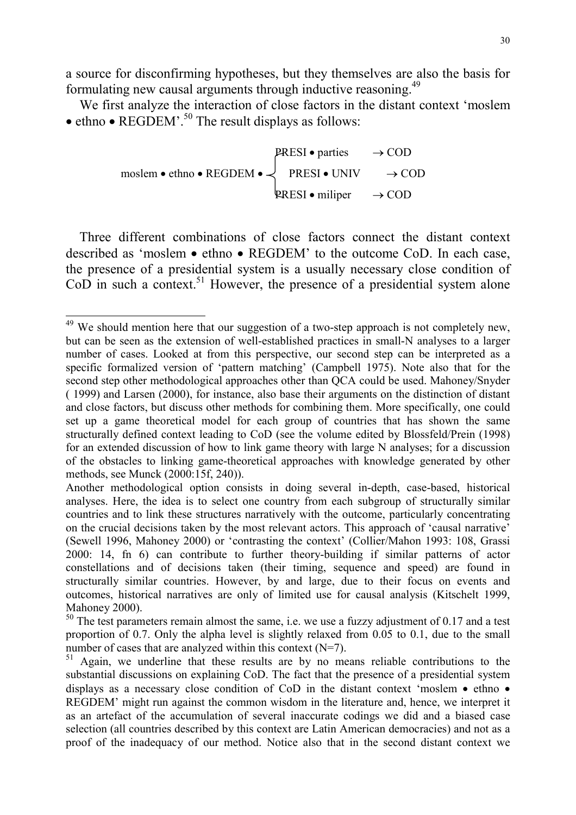a source for disconfirming hypotheses, but they themselves are also the basis for formulating new causal arguments through inductive reasoning.<sup>49</sup>

We first analyze the interaction of close factors in the distant context 'moslem  $\bullet$  ethno  $\bullet$  REGDEM'.<sup>50</sup> The result displays as follows:

$$
p_{\text{RESI}} \cdot \text{parties} \rightarrow \text{COD}
$$
\n
$$
p_{\text{RESI}} \cdot \text{parties} \rightarrow \text{COD}
$$
\n
$$
p_{\text{RESI}} \cdot \text{UNIV} \rightarrow \text{COD}
$$
\n
$$
p_{\text{RESI}} \cdot \text{miliper} \rightarrow \text{COD}
$$

Three different combinations of close factors connect the distant context described as 'moslem • ethno • REGDEM' to the outcome CoD. In each case, the presence of a presidential system is a usually necessary close condition of  $Co<sup>D</sup>$  in such a context.<sup>51</sup> However, the presence of a presidential system alone

 $49$  We should mention here that our suggestion of a two-step approach is not completely new, but can be seen as the extension of well-established practices in small-N analyses to a larger number of cases. Looked at from this perspective, our second step can be interpreted as a specific formalized version of 'pattern matching' (Campbell 1975). Note also that for the second step other methodological approaches other than QCA could be used. Mahoney/Snyder ( 1999) and Larsen (2000), for instance, also base their arguments on the distinction of distant and close factors, but discuss other methods for combining them. More specifically, one could set up a game theoretical model for each group of countries that has shown the same structurally defined context leading to CoD (see the volume edited by Blossfeld/Prein (1998) for an extended discussion of how to link game theory with large N analyses; for a discussion of the obstacles to linking game-theoretical approaches with knowledge generated by other methods, see Munck (2000:15f, 240)).

Another methodological option consists in doing several in-depth, case-based, historical analyses. Here, the idea is to select one country from each subgroup of structurally similar countries and to link these structures narratively with the outcome, particularly concentrating on the crucial decisions taken by the most relevant actors. This approach of 'causal narrative' (Sewell 1996, Mahoney 2000) or 'contrasting the context' (Collier/Mahon 1993: 108, Grassi 2000: 14, fn 6) can contribute to further theory-building if similar patterns of actor constellations and of decisions taken (their timing, sequence and speed) are found in structurally similar countries. However, by and large, due to their focus on events and outcomes, historical narratives are only of limited use for causal analysis (Kitschelt 1999, Mahoney 2000).

 $50$  The test parameters remain almost the same, i.e. we use a fuzzy adjustment of 0.17 and a test proportion of 0.7. Only the alpha level is slightly relaxed from 0.05 to 0.1, due to the small number of cases that are analyzed within this context  $(N=7)$ .

 $51$  Again, we underline that these results are by no means reliable contributions to the substantial discussions on explaining CoD. The fact that the presence of a presidential system displays as a necessary close condition of CoD in the distant context 'moslem  $\bullet$  ethno  $\bullet$ REGDEM' might run against the common wisdom in the literature and, hence, we interpret it as an artefact of the accumulation of several inaccurate codings we did and a biased case selection (all countries described by this context are Latin American democracies) and not as a proof of the inadequacy of our method. Notice also that in the second distant context we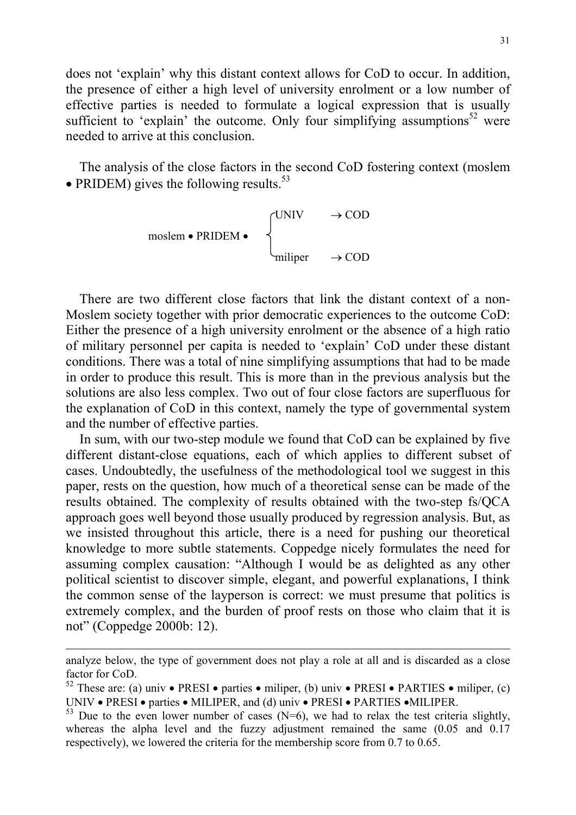does not 'explain' why this distant context allows for CoD to occur. In addition, the presence of either a high level of university enrolment or a low number of effective parties is needed to formulate a logical expression that is usually sufficient to 'explain' the outcome. Only four simplifying assumptions<sup>52</sup> were needed to arrive at this conclusion.

The analysis of the close factors in the second CoD fostering context (moslem • PRIDEM) gives the following results.<sup>53</sup>

$$
\begin{array}{ccc}\n\text{moslem} \cdot \text{PRIDEM} \cdot & & \left\{ \begin{aligned}\n\text{UNIV} & & \rightarrow \text{COD} \\
\text{miliper} & & \rightarrow \text{COD}\n\end{aligned}\n\end{array}
$$

There are two different close factors that link the distant context of a non-Moslem society together with prior democratic experiences to the outcome CoD: Either the presence of a high university enrolment or the absence of a high ratio of military personnel per capita is needed to 'explain' CoD under these distant conditions. There was a total of nine simplifying assumptions that had to be made in order to produce this result. This is more than in the previous analysis but the solutions are also less complex. Two out of four close factors are superfluous for the explanation of CoD in this context, namely the type of governmental system and the number of effective parties.

In sum, with our two-step module we found that CoD can be explained by five different distant-close equations, each of which applies to different subset of cases. Undoubtedly, the usefulness of the methodological tool we suggest in this paper, rests on the question, how much of a theoretical sense can be made of the results obtained. The complexity of results obtained with the two-step fs/QCA approach goes well beyond those usually produced by regression analysis. But, as we insisted throughout this article, there is a need for pushing our theoretical knowledge to more subtle statements. Coppedge nicely formulates the need for assuming complex causation: "Although I would be as delighted as any other political scientist to discover simple, elegant, and powerful explanations, I think the common sense of the layperson is correct: we must presume that politics is extremely complex, and the burden of proof rests on those who claim that it is not" (Coppedge 2000b: 12).

analyze below, the type of government does not play a role at all and is discarded as a close factor for CoD.

<sup>&</sup>lt;sup>52</sup> These are: (a) univ • PRESI • parties • miliper, (b) univ • PRESI • PARTIES • miliper, (c) UNIV • PRESI • parties • MILIPER, and (d) univ • PRESI • PARTIES • MILIPER.

 $53$  Due to the even lower number of cases (N=6), we had to relax the test criteria slightly, whereas the alpha level and the fuzzy adjustment remained the same  $(0.05 \text{ and } 0.17)$ respectively), we lowered the criteria for the membership score from 0.7 to 0.65.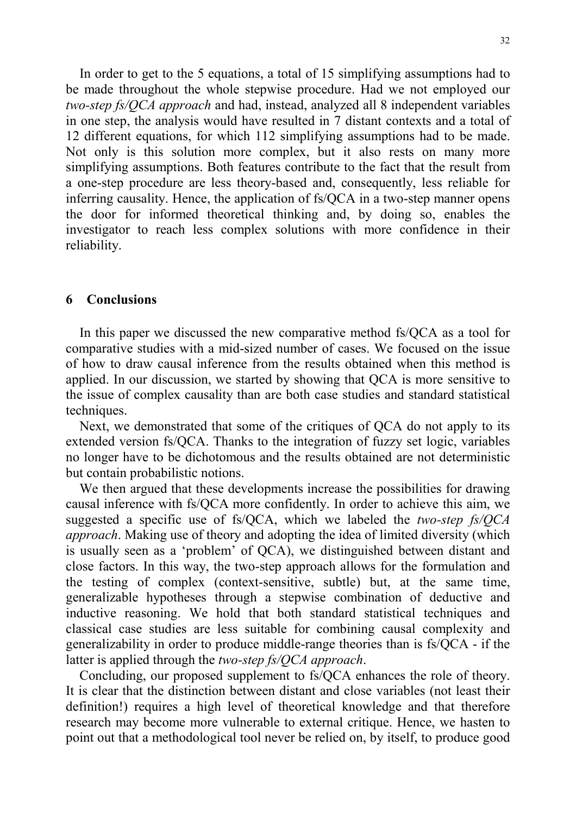In order to get to the 5 equations, a total of 15 simplifying assumptions had to be made throughout the whole stepwise procedure. Had we not employed our *two-step fs/QCA approach* and had, instead, analyzed all 8 independent variables in one step, the analysis would have resulted in 7 distant contexts and a total of 12 different equations, for which 112 simplifying assumptions had to be made. Not only is this solution more complex, but it also rests on many more simplifying assumptions. Both features contribute to the fact that the result from a one-step procedure are less theory-based and, consequently, less reliable for inferring causality. Hence, the application of fs/QCA in a two-step manner opens the door for informed theoretical thinking and, by doing so, enables the investigator to reach less complex solutions with more confidence in their reliability.

#### **6 Conclusions**

In this paper we discussed the new comparative method fs/QCA as a tool for comparative studies with a mid-sized number of cases. We focused on the issue of how to draw causal inference from the results obtained when this method is applied. In our discussion, we started by showing that QCA is more sensitive to the issue of complex causality than are both case studies and standard statistical techniques.

Next, we demonstrated that some of the critiques of QCA do not apply to its extended version fs/QCA. Thanks to the integration of fuzzy set logic, variables no longer have to be dichotomous and the results obtained are not deterministic but contain probabilistic notions.

We then argued that these developments increase the possibilities for drawing causal inference with fs/QCA more confidently. In order to achieve this aim, we suggested a specific use of fs/QCA, which we labeled the *two-step fs/QCA approach*. Making use of theory and adopting the idea of limited diversity (which is usually seen as a 'problem' of QCA), we distinguished between distant and close factors. In this way, the two-step approach allows for the formulation and the testing of complex (context-sensitive, subtle) but, at the same time, generalizable hypotheses through a stepwise combination of deductive and inductive reasoning. We hold that both standard statistical techniques and classical case studies are less suitable for combining causal complexity and generalizability in order to produce middle-range theories than is fs/QCA - if the latter is applied through the *two-step fs/QCA approach*.

Concluding, our proposed supplement to fs/QCA enhances the role of theory. It is clear that the distinction between distant and close variables (not least their definition!) requires a high level of theoretical knowledge and that therefore research may become more vulnerable to external critique. Hence, we hasten to point out that a methodological tool never be relied on, by itself, to produce good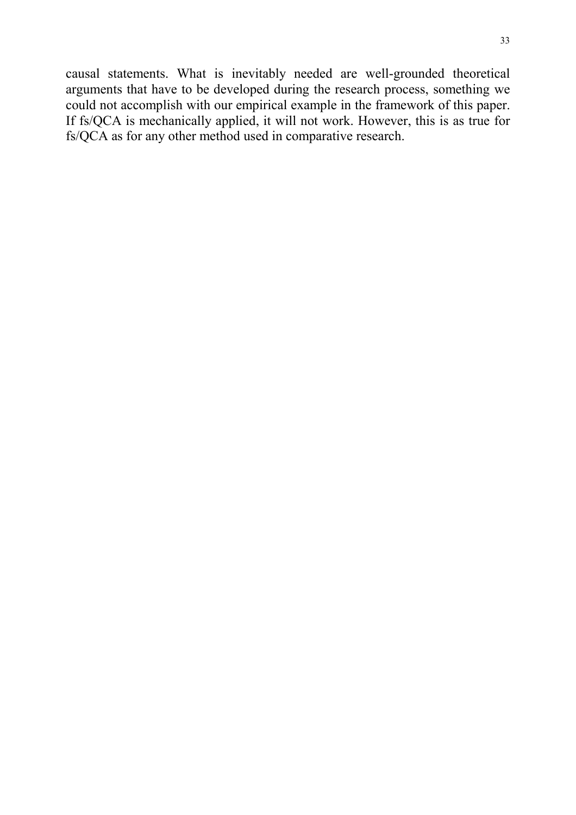causal statements. What is inevitably needed are well-grounded theoretical arguments that have to be developed during the research process, something we could not accomplish with our empirical example in the framework of this paper. If fs/QCA is mechanically applied, it will not work. However, this is as true for fs/QCA as for any other method used in comparative research.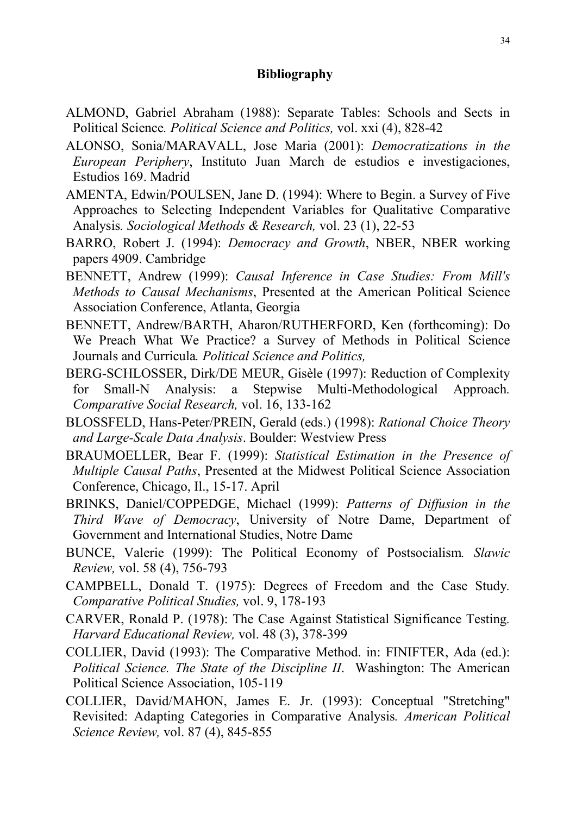#### **Bibliography**

- ALMOND, Gabriel Abraham (1988): Separate Tables: Schools and Sects in Political Science*. Political Science and Politics,* vol. xxi (4), 828-42
- ALONSO, Sonia/MARAVALL, Jose Maria (2001): *Democratizations in the European Periphery*, Instituto Juan March de estudios e investigaciones, Estudios 169. Madrid
- AMENTA, Edwin/POULSEN, Jane D. (1994): Where to Begin. a Survey of Five Approaches to Selecting Independent Variables for Qualitative Comparative Analysis*. Sociological Methods & Research,* vol. 23 (1), 22-53
- BARRO, Robert J. (1994): *Democracy and Growth*, NBER, NBER working papers 4909. Cambridge
- BENNETT, Andrew (1999): *Causal Inference in Case Studies: From Mill's Methods to Causal Mechanisms*, Presented at the American Political Science Association Conference, Atlanta, Georgia
- BENNETT, Andrew/BARTH, Aharon/RUTHERFORD, Ken (forthcoming): Do We Preach What We Practice? a Survey of Methods in Political Science Journals and Curricula*. Political Science and Politics,*
- BERG-SCHLOSSER, Dirk/DE MEUR, Gisèle (1997): Reduction of Complexity for Small-N Analysis: a Stepwise Multi-Methodological Approach*. Comparative Social Research,* vol. 16, 133-162
- BLOSSFELD, Hans-Peter/PREIN, Gerald (eds.) (1998): *Rational Choice Theory and Large-Scale Data Analysis*. Boulder: Westview Press
- BRAUMOELLER, Bear F. (1999): *Statistical Estimation in the Presence of Multiple Causal Paths*, Presented at the Midwest Political Science Association Conference, Chicago, Il., 15-17. April
- BRINKS, Daniel/COPPEDGE, Michael (1999): *Patterns of Diffusion in the Third Wave of Democracy*, University of Notre Dame, Department of Government and International Studies, Notre Dame
- BUNCE, Valerie (1999): The Political Economy of Postsocialism*. Slawic Review,* vol. 58 (4), 756-793
- CAMPBELL, Donald T. (1975): Degrees of Freedom and the Case Study*. Comparative Political Studies,* vol. 9, 178-193
- CARVER, Ronald P. (1978): The Case Against Statistical Significance Testing*. Harvard Educational Review,* vol. 48 (3), 378-399
- COLLIER, David (1993): The Comparative Method. in: FINIFTER, Ada (ed.): *Political Science. The State of the Discipline II*. Washington: The American Political Science Association, 105-119
- COLLIER, David/MAHON, James E. Jr. (1993): Conceptual "Stretching" Revisited: Adapting Categories in Comparative Analysis*. American Political Science Review,* vol. 87 (4), 845-855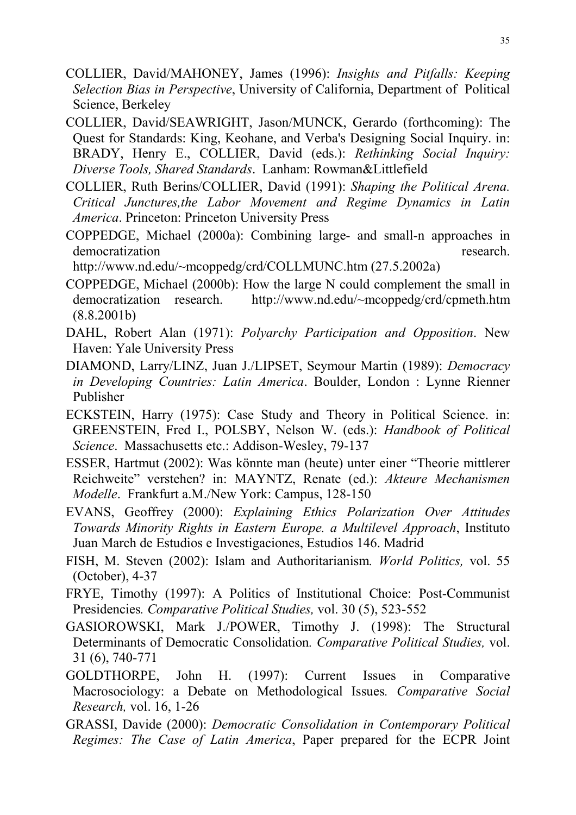- COLLIER, David/MAHONEY, James (1996): *Insights and Pitfalls: Keeping Selection Bias in Perspective*, University of California, Department of Political Science, Berkeley
- COLLIER, David/SEAWRIGHT, Jason/MUNCK, Gerardo (forthcoming): The Quest for Standards: King, Keohane, and Verba's Designing Social Inquiry. in: BRADY, Henry E., COLLIER, David (eds.): *Rethinking Social Inquiry: Diverse Tools, Shared Standards*. Lanham: Rowman&Littlefield
- COLLIER, Ruth Berins/COLLIER, David (1991): *Shaping the Political Arena. Critical Junctures,the Labor Movement and Regime Dynamics in Latin America*. Princeton: Princeton University Press
- COPPEDGE, Michael (2000a): Combining large- and small-n approaches in democratization research.

http://www.nd.edu/~mcoppedg/crd/COLLMUNC.htm (27.5.2002a)

- COPPEDGE, Michael (2000b): How the large N could complement the small in democratization research. http://www.nd.edu/~mcoppedg/crd/cpmeth.htm (8.8.2001b)
- DAHL, Robert Alan (1971): *Polyarchy Participation and Opposition*. New Haven: Yale University Press
- DIAMOND, Larry/LINZ, Juan J./LIPSET, Seymour Martin (1989): *Democracy in Developing Countries: Latin America*. Boulder, London : Lynne Rienner Publisher
- ECKSTEIN, Harry (1975): Case Study and Theory in Political Science. in: GREENSTEIN, Fred I., POLSBY, Nelson W. (eds.): *Handbook of Political Science*. Massachusetts etc.: Addison-Wesley, 79-137
- ESSER, Hartmut (2002): Was könnte man (heute) unter einer "Theorie mittlerer Reichweite" verstehen? in: MAYNTZ, Renate (ed.): *Akteure Mechanismen Modelle*. Frankfurt a.M./New York: Campus, 128-150
- EVANS, Geoffrey (2000): *Explaining Ethics Polarization Over Attitudes Towards Minority Rights in Eastern Europe. a Multilevel Approach*, Instituto Juan March de Estudios e Investigaciones, Estudios 146. Madrid
- FISH, M. Steven (2002): Islam and Authoritarianism*. World Politics,* vol. 55 (October), 4-37
- FRYE, Timothy (1997): A Politics of Institutional Choice: Post-Communist Presidencies*. Comparative Political Studies,* vol. 30 (5), 523-552
- GASIOROWSKI, Mark J./POWER, Timothy J. (1998): The Structural Determinants of Democratic Consolidation*. Comparative Political Studies,* vol. 31 (6), 740-771
- GOLDTHORPE, John H. (1997): Current Issues in Comparative Macrosociology: a Debate on Methodological Issues*. Comparative Social Research,* vol. 16, 1-26
- GRASSI, Davide (2000): *Democratic Consolidation in Contemporary Political Regimes: The Case of Latin America*, Paper prepared for the ECPR Joint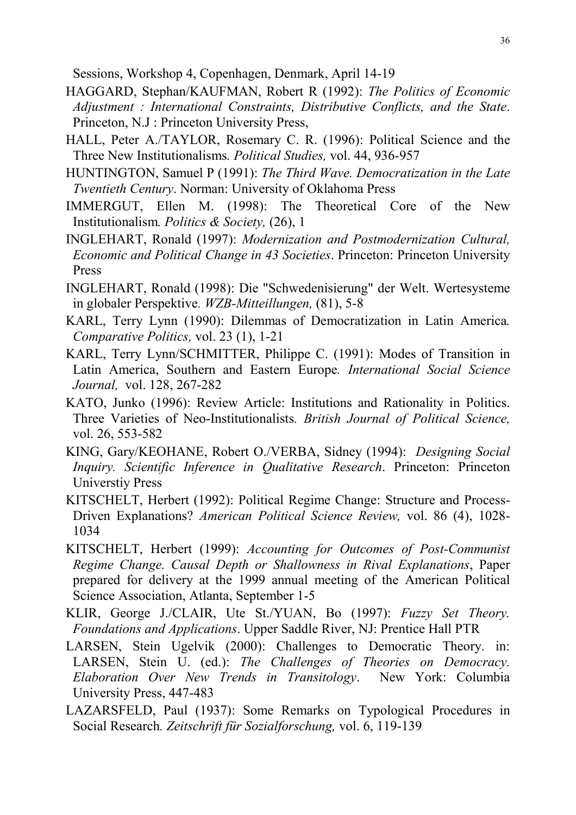Sessions, Workshop 4, Copenhagen, Denmark, April 14-19

- HAGGARD, Stephan/KAUFMAN, Robert R (1992): *The Politics of Economic Adjustment : International Constraints, Distributive Conflicts, and the State*. Princeton, N.J : Princeton University Press,
- HALL, Peter A./TAYLOR, Rosemary C. R. (1996): Political Science and the Three New Institutionalisms*. Political Studies,* vol. 44, 936-957
- HUNTINGTON, Samuel P (1991): *The Third Wave. Democratization in the Late Twentieth Century*. Norman: University of Oklahoma Press
- IMMERGUT, Ellen M. (1998): The Theoretical Core of the New Institutionalism*. Politics & Society,* (26), 1
- INGLEHART, Ronald (1997): *Modernization and Postmodernization Cultural, Economic and Political Change in 43 Societies*. Princeton: Princeton University Press
- INGLEHART, Ronald (1998): Die "Schwedenisierung" der Welt. Wertesysteme in globaler Perspektive*. WZB-Mitteillungen,* (81), 5-8
- KARL, Terry Lynn (1990): Dilemmas of Democratization in Latin America*. Comparative Politics,* vol. 23 (1), 1-21
- KARL, Terry Lynn/SCHMITTER, Philippe C. (1991): Modes of Transition in Latin America, Southern and Eastern Europe*. International Social Science Journal,* vol. 128, 267-282
- KATO, Junko (1996): Review Article: Institutions and Rationality in Politics. Three Varieties of Neo-Institutionalists*. British Journal of Political Science,* vol. 26, 553-582
- KING, Gary/KEOHANE, Robert O./VERBA, Sidney (1994): *Designing Social Inquiry. Scientific Inference in Qualitative Research*. Princeton: Princeton Universtiy Press
- KITSCHELT, Herbert (1992): Political Regime Change: Structure and Process-Driven Explanations? *American Political Science Review,* vol. 86 (4), 1028- 1034
- KITSCHELT, Herbert (1999): *Accounting for Outcomes of Post-Communist Regime Change. Causal Depth or Shallowness in Rival Explanations*, Paper prepared for delivery at the 1999 annual meeting of the American Political Science Association, Atlanta, September 1-5
- KLIR, George J./CLAIR, Ute St./YUAN, Bo (1997): *Fuzzy Set Theory. Foundations and Applications*. Upper Saddle River, NJ: Prentice Hall PTR
- LARSEN, Stein Ugelvik (2000): Challenges to Democratic Theory. in: LARSEN, Stein U. (ed.): *The Challenges of Theories on Democracy. Elaboration Over New Trends in Transitology*. New York: Columbia University Press, 447-483
- LAZARSFELD, Paul (1937): Some Remarks on Typological Procedures in Social Research*. Zeitschrift für Sozialforschung,* vol. 6, 119-139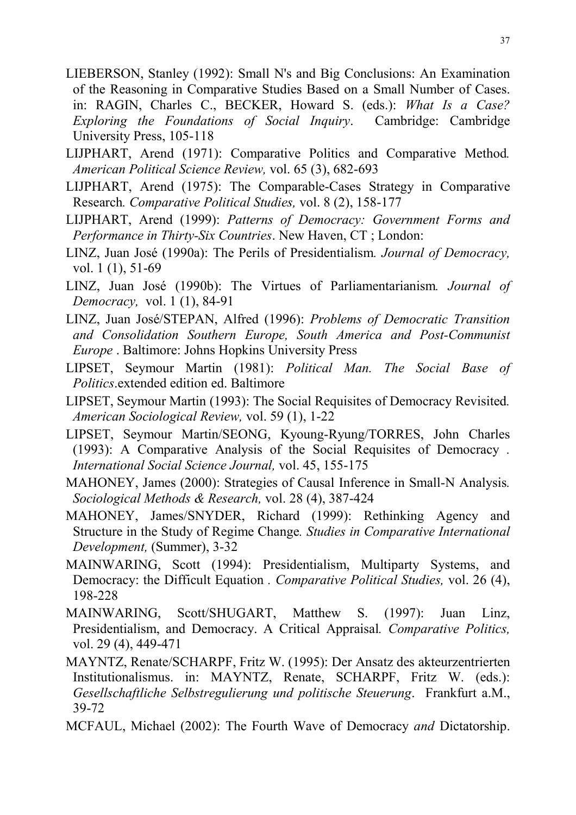- LIEBERSON, Stanley (1992): Small N's and Big Conclusions: An Examination of the Reasoning in Comparative Studies Based on a Small Number of Cases. in: RAGIN, Charles C., BECKER, Howard S. (eds.): *What Is a Case? Exploring the Foundations of Social Inquiry*. Cambridge: Cambridge University Press, 105-118
- LIJPHART, Arend (1971): Comparative Politics and Comparative Method*. American Political Science Review,* vol. 65 (3), 682-693
- LIJPHART, Arend (1975): The Comparable-Cases Strategy in Comparative Research*. Comparative Political Studies,* vol. 8 (2), 158-177
- LIJPHART, Arend (1999): *Patterns of Democracy: Government Forms and Performance in Thirty-Six Countries*. New Haven, CT ; London:
- LINZ, Juan José (1990a): The Perils of Presidentialism*. Journal of Democracy,* vol. 1 (1), 51-69
- LINZ, Juan José (1990b): The Virtues of Parliamentarianism*. Journal of Democracy,* vol. 1 (1), 84-91
- LINZ, Juan José/STEPAN, Alfred (1996): *Problems of Democratic Transition and Consolidation Southern Europe, South America and Post-Communist Europe* . Baltimore: Johns Hopkins University Press
- LIPSET, Seymour Martin (1981): *Political Man. The Social Base of Politics*.extended edition ed. Baltimore
- LIPSET, Seymour Martin (1993): The Social Requisites of Democracy Revisited*. American Sociological Review,* vol. 59 (1), 1-22
- LIPSET, Seymour Martin/SEONG, Kyoung-Ryung/TORRES, John Charles (1993): A Comparative Analysis of the Social Requisites of Democracy *. International Social Science Journal,* vol. 45, 155-175
- MAHONEY, James (2000): Strategies of Causal Inference in Small-N Analysis*. Sociological Methods & Research,* vol. 28 (4), 387-424
- MAHONEY, James/SNYDER, Richard (1999): Rethinking Agency and Structure in the Study of Regime Change*. Studies in Comparative International Development,* (Summer), 3-32
- MAINWARING, Scott (1994): Presidentialism, Multiparty Systems, and Democracy: the Difficult Equation *. Comparative Political Studies,* vol. 26 (4), 198-228
- MAINWARING, Scott/SHUGART, Matthew S. (1997): Juan Linz, Presidentialism, and Democracy. A Critical Appraisal*. Comparative Politics,* vol. 29 (4), 449-471
- MAYNTZ, Renate/SCHARPF, Fritz W. (1995): Der Ansatz des akteurzentrierten Institutionalismus. in: MAYNTZ, Renate, SCHARPF, Fritz W. (eds.): *Gesellschaftliche Selbstregulierung und politische Steuerung*. Frankfurt a.M., 39-72
- MCFAUL, Michael (2002): The Fourth Wave of Democracy *and* Dictatorship.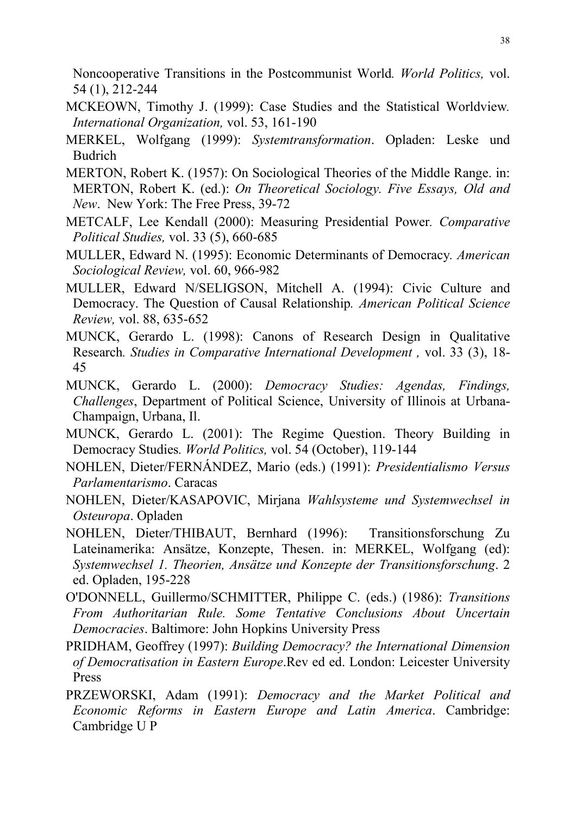Noncooperative Transitions in the Postcommunist World*. World Politics,* vol. 54 (1), 212-244

- MCKEOWN, Timothy J. (1999): Case Studies and the Statistical Worldview*. International Organization,* vol. 53, 161-190
- MERKEL, Wolfgang (1999): *Systemtransformation*. Opladen: Leske und Budrich
- MERTON, Robert K. (1957): On Sociological Theories of the Middle Range. in: MERTON, Robert K. (ed.): *On Theoretical Sociology. Five Essays, Old and New*. New York: The Free Press, 39-72
- METCALF, Lee Kendall (2000): Measuring Presidential Power*. Comparative Political Studies,* vol. 33 (5), 660-685
- MULLER, Edward N. (1995): Economic Determinants of Democracy*. American Sociological Review,* vol. 60, 966-982
- MULLER, Edward N/SELIGSON, Mitchell A. (1994): Civic Culture and Democracy. The Question of Causal Relationship*. American Political Science Review,* vol. 88, 635-652
- MUNCK, Gerardo L. (1998): Canons of Research Design in Qualitative Research*. Studies in Comparative International Development ,* vol. 33 (3), 18- 45
- MUNCK, Gerardo L. (2000): *Democracy Studies: Agendas, Findings, Challenges*, Department of Political Science, University of Illinois at Urbana-Champaign, Urbana, Il.
- MUNCK, Gerardo L. (2001): The Regime Question. Theory Building in Democracy Studies*. World Politics,* vol. 54 (October), 119-144
- NOHLEN, Dieter/FERNÁNDEZ, Mario (eds.) (1991): *Presidentialismo Versus Parlamentarismo*. Caracas
- NOHLEN, Dieter/KASAPOVIC, Mirjana *Wahlsysteme und Systemwechsel in Osteuropa*. Opladen
- NOHLEN, Dieter/THIBAUT, Bernhard (1996): Transitionsforschung Zu Lateinamerika: Ansätze, Konzepte, Thesen. in: MERKEL, Wolfgang (ed): *Systemwechsel 1. Theorien, Ansätze und Konzepte der Transitionsforschung*. 2 ed. Opladen, 195-228
- O'DONNELL, Guillermo/SCHMITTER, Philippe C. (eds.) (1986): *Transitions From Authoritarian Rule. Some Tentative Conclusions About Uncertain Democracies*. Baltimore: John Hopkins University Press
- PRIDHAM, Geoffrey (1997): *Building Democracy? the International Dimension of Democratisation in Eastern Europe*.Rev ed ed. London: Leicester University Press
- PRZEWORSKI, Adam (1991): *Democracy and the Market Political and Economic Reforms in Eastern Europe and Latin America*. Cambridge: Cambridge U P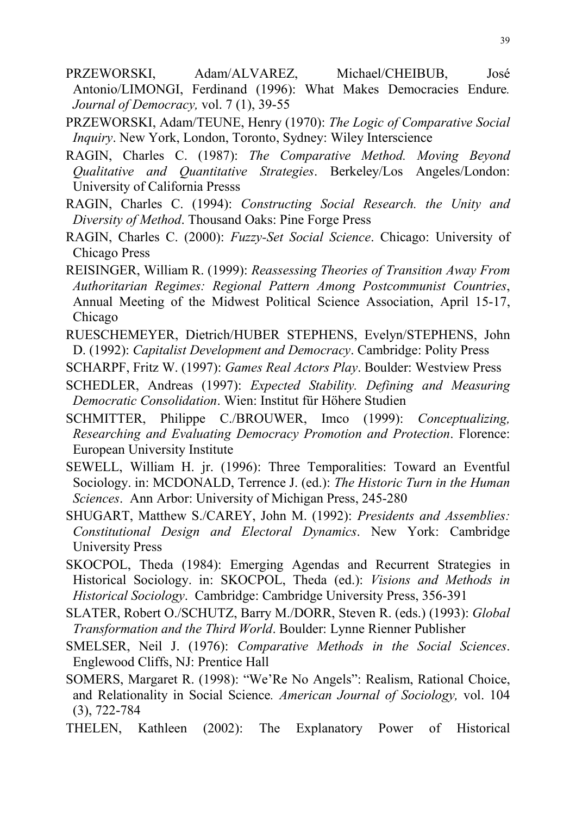- PRZEWORSKI, Adam/ALVAREZ, Michael/CHEIBUB, José Antonio/LIMONGI, Ferdinand (1996): What Makes Democracies Endure*. Journal of Democracy,* vol. 7 (1), 39-55
- PRZEWORSKI, Adam/TEUNE, Henry (1970): *The Logic of Comparative Social Inquiry*. New York, London, Toronto, Sydney: Wiley Interscience
- RAGIN, Charles C. (1987): *The Comparative Method. Moving Beyond Qualitative and Quantitative Strategies*. Berkeley/Los Angeles/London: University of California Presss
- RAGIN, Charles C. (1994): *Constructing Social Research. the Unity and Diversity of Method*. Thousand Oaks: Pine Forge Press
- RAGIN, Charles C. (2000): *Fuzzy-Set Social Science*. Chicago: University of Chicago Press
- REISINGER, William R. (1999): *Reassessing Theories of Transition Away From Authoritarian Regimes: Regional Pattern Among Postcommunist Countries*, Annual Meeting of the Midwest Political Science Association, April 15-17, Chicago
- RUESCHEMEYER, Dietrich/HUBER STEPHENS, Evelyn/STEPHENS, John D. (1992): *Capitalist Development and Democracy*. Cambridge: Polity Press
- SCHARPF, Fritz W. (1997): *Games Real Actors Play*. Boulder: Westview Press
- SCHEDLER, Andreas (1997): *Expected Stability. Defining and Measuring Democratic Consolidation*. Wien: Institut für Höhere Studien
- SCHMITTER, Philippe C./BROUWER, Imco (1999): *Conceptualizing, Researching and Evaluating Democracy Promotion and Protection*. Florence: European University Institute
- SEWELL, William H. jr. (1996): Three Temporalities: Toward an Eventful Sociology. in: MCDONALD, Terrence J. (ed.): *The Historic Turn in the Human Sciences*. Ann Arbor: University of Michigan Press, 245-280
- SHUGART, Matthew S./CAREY, John M. (1992): *Presidents and Assemblies: Constitutional Design and Electoral Dynamics*. New York: Cambridge University Press
- SKOCPOL, Theda (1984): Emerging Agendas and Recurrent Strategies in Historical Sociology. in: SKOCPOL, Theda (ed.): *Visions and Methods in Historical Sociology*. Cambridge: Cambridge University Press, 356-391
- SLATER, Robert O./SCHUTZ, Barry M./DORR, Steven R. (eds.) (1993): *Global Transformation and the Third World*. Boulder: Lynne Rienner Publisher
- SMELSER, Neil J. (1976): *Comparative Methods in the Social Sciences*. Englewood Cliffs, NJ: Prentice Hall
- SOMERS, Margaret R. (1998): "We'Re No Angels": Realism, Rational Choice, and Relationality in Social Science*. American Journal of Sociology,* vol. 104 (3), 722-784
- THELEN, Kathleen (2002): The Explanatory Power of Historical